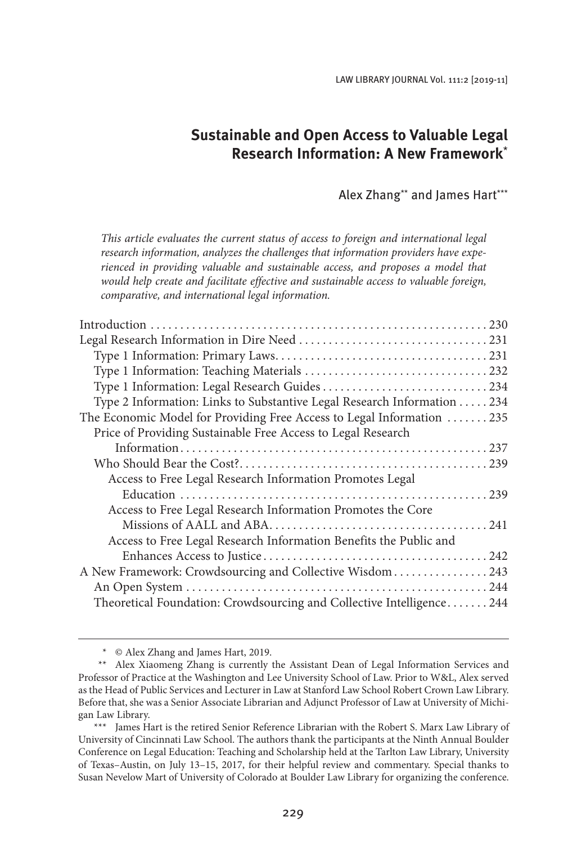LAW LIBRARY JOURNAL Vol. 111:2 [2019-11]

# **Sustainable and Open Access to Valuable Legal Research Information: A New Framework**\*

## Alex Zhang\*\* and James Hart\*\*\*

*This article evaluates the current status of access to foreign and international legal research information, analyzes the challenges that information providers have experienced in providing valuable and sustainable access, and proposes a model that would help create and facilitate effective and sustainable access to valuable foreign, comparative, and international legal information.*

| Type 2 Information: Links to Substantive Legal Research Information 234 |  |
|-------------------------------------------------------------------------|--|
| The Economic Model for Providing Free Access to Legal Information 235   |  |
| Price of Providing Sustainable Free Access to Legal Research            |  |
|                                                                         |  |
|                                                                         |  |
| Access to Free Legal Research Information Promotes Legal                |  |
|                                                                         |  |
| Access to Free Legal Research Information Promotes the Core             |  |
|                                                                         |  |
| Access to Free Legal Research Information Benefits the Public and       |  |
|                                                                         |  |
| A New Framework: Crowdsourcing and Collective Wisdom  243               |  |
|                                                                         |  |
| Theoretical Foundation: Crowdsourcing and Collective Intelligence 244   |  |
|                                                                         |  |

<sup>\*</sup> © Alex Zhang and James Hart, 2019.

<sup>\*\*</sup> Alex Xiaomeng Zhang is currently the Assistant Dean of Legal Information Services and Professor of Practice at the Washington and Lee University School of Law. Prior to W&L, Alex served as the Head of Public Services and Lecturer in Law at Stanford Law School Robert Crown Law Library. Before that, she was a Senior Associate Librarian and Adjunct Professor of Law at University of Michigan Law Library.

<sup>\*\*\*</sup> James Hart is the retired Senior Reference Librarian with the Robert S. Marx Law Library of University of Cincinnati Law School. The authors thank the participants at the Ninth Annual Boulder Conference on Legal Education: Teaching and Scholarship held at the Tarlton Law Library, University of Texas–Austin, on July 13–15, 2017, for their helpful review and commentary. Special thanks to Susan Nevelow Mart of University of Colorado at Boulder Law Library for organizing the conference.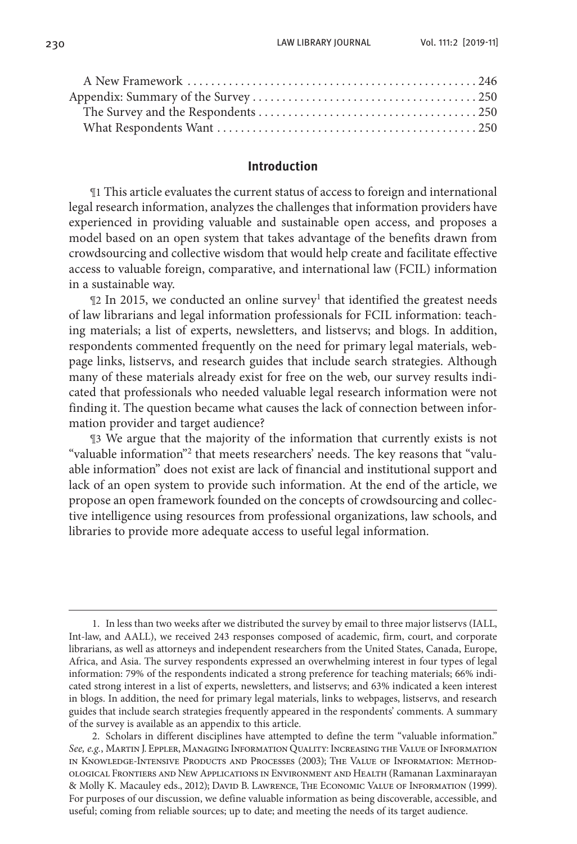#### **Introduction**

¶1 This article evaluates the current status of access to foreign and international legal research information, analyzes the challenges that information providers have experienced in providing valuable and sustainable open access, and proposes a model based on an open system that takes advantage of the benefits drawn from crowdsourcing and collective wisdom that would help create and facilitate effective access to valuable foreign, comparative, and international law (FCIL) information in a sustainable way.

12 In 2015, we conducted an online survey<sup>1</sup> that identified the greatest needs of law librarians and legal information professionals for FCIL information: teaching materials; a list of experts, newsletters, and listservs; and blogs. In addition, respondents commented frequently on the need for primary legal materials, webpage links, listservs, and research guides that include search strategies. Although many of these materials already exist for free on the web, our survey results indicated that professionals who needed valuable legal research information were not finding it. The question became what causes the lack of connection between information provider and target audience?

¶3 We argue that the majority of the information that currently exists is not "valuable information"<sup>2</sup> that meets researchers' needs. The key reasons that "valuable information" does not exist are lack of financial and institutional support and lack of an open system to provide such information. At the end of the article, we propose an open framework founded on the concepts of crowdsourcing and collective intelligence using resources from professional organizations, law schools, and libraries to provide more adequate access to useful legal information.

<sup>1.</sup> In less than two weeks after we distributed the survey by email to three major listservs (IALL, Int-law, and AALL), we received 243 responses composed of academic, firm, court, and corporate librarians, as well as attorneys and independent researchers from the United States, Canada, Europe, Africa, and Asia. The survey respondents expressed an overwhelming interest in four types of legal information: 79% of the respondents indicated a strong preference for teaching materials; 66% indicated strong interest in a list of experts, newsletters, and listservs; and 63% indicated a keen interest in blogs. In addition, the need for primary legal materials, links to webpages, listservs, and research guides that include search strategies frequently appeared in the respondents' comments. A summary of the survey is available as an appendix to this article.

<sup>2.</sup> Scholars in different disciplines have attempted to define the term "valuable information." *See, e.g.*, Martin J. Eppler, Managing Information Quality: Increasing the Value of Information in Knowledge-Intensive Products and Processes (2003); The Value of Information: Methodological Frontiers and New Applications in Environment and Health (Ramanan Laxminarayan & Molly K. Macauley eds., 2012); David B. Lawrence, The Economic Value of Information (1999). For purposes of our discussion, we define valuable information as being discoverable, accessible, and useful; coming from reliable sources; up to date; and meeting the needs of its target audience.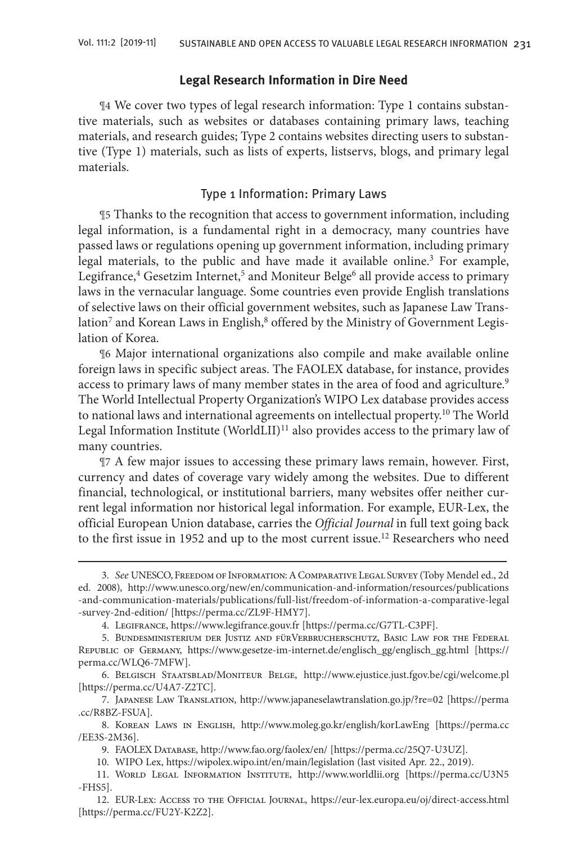## **Legal Research Information in Dire Need**

¶4 We cover two types of legal research information: Type 1 contains substantive materials, such as websites or databases containing primary laws, teaching materials, and research guides; Type 2 contains websites directing users to substantive (Type 1) materials, such as lists of experts, listservs, blogs, and primary legal materials.

## Type 1 Information: Primary Laws

¶5 Thanks to the recognition that access to government information, including legal information, is a fundamental right in a democracy, many countries have passed laws or regulations opening up government information, including primary legal materials, to the public and have made it available online.<sup>3</sup> For example, Legifrance,<sup>4</sup> Gesetzim Internet,<sup>5</sup> and Moniteur Belge<sup>6</sup> all provide access to primary laws in the vernacular language. Some countries even provide English translations of selective laws on their official government websites, such as Japanese Law Translation $^7$  and Korean Laws in English, $^8$  offered by the Ministry of Government Legislation of Korea.

¶6 Major international organizations also compile and make available online foreign laws in specific subject areas. The FAOLEX database, for instance, provides access to primary laws of many member states in the area of food and agriculture.<sup>9</sup> The World Intellectual Property Organization's WIPO Lex database provides access to national laws and international agreements on intellectual property.<sup>10</sup> The World Legal Information Institute (WorldLII)<sup>11</sup> also provides access to the primary law of many countries.

¶7 A few major issues to accessing these primary laws remain, however. First, currency and dates of coverage vary widely among the websites. Due to different financial, technological, or institutional barriers, many websites offer neither current legal information nor historical legal information. For example, EUR-Lex, the official European Union database, carries the *Official Journal* in full text going back to the first issue in 1952 and up to the most current issue.<sup>12</sup> Researchers who need

12. EUR-Lex: Access to the Official Journal, https://eur-lex.europa.eu/oj/direct-access.html [https://perma.cc/FU2Y-K2Z2].

<sup>3.</sup> *See* UNESCO, Freedom of Information: A Comparative Legal Survey (Toby Mendel ed., 2d ed. 2008), http://www.unesco.org/new/en/communication-and-information/resources/publications -and-communication-materials/publications/full-list/freedom-of-information-a-comparative-legal -survey-2nd-edition/ [https://perma.cc/ZL9F-HMY7].

<sup>4.</sup> Legifrance, https://www.legifrance.gouv.fr [https://perma.cc/G7TL-C3PF].

<sup>5.</sup> Bundesministerium der Justiz and fürVerbrucherschutz, Basic Law for the Federal Republic of Germany, https://www.gesetze-im-internet.de/englisch\_gg/englisch\_gg.html [https:// perma.cc/WLQ6-7MFW].

<sup>6.</sup> Belgisch Staatsblad/Moniteur Belge, http://www.ejustice.just.fgov.be/cgi/welcome.pl [https://perma.cc/U4A7-Z2TC].

<sup>7.</sup> Japanese Law Translation, http://www.japaneselawtranslation.go.jp/?re=02 [https://perma .cc/R8BZ-FSUA].

<sup>8.</sup> Korean Laws in English, http://www.moleg.go.kr/english/korLawEng [https://perma.cc /EE3S-2M36].

<sup>9.</sup> FAOLEX Database, http://www.fao.org/faolex/en/ [https://perma.cc/25Q7-U3UZ].

<sup>10.</sup> WIPO Lex, https://wipolex.wipo.int/en/main/legislation (last visited Apr. 22., 2019).

<sup>11.</sup> World Legal Information Institute, http://www.worldlii.org [https://perma.cc/U3N5 -FHS5].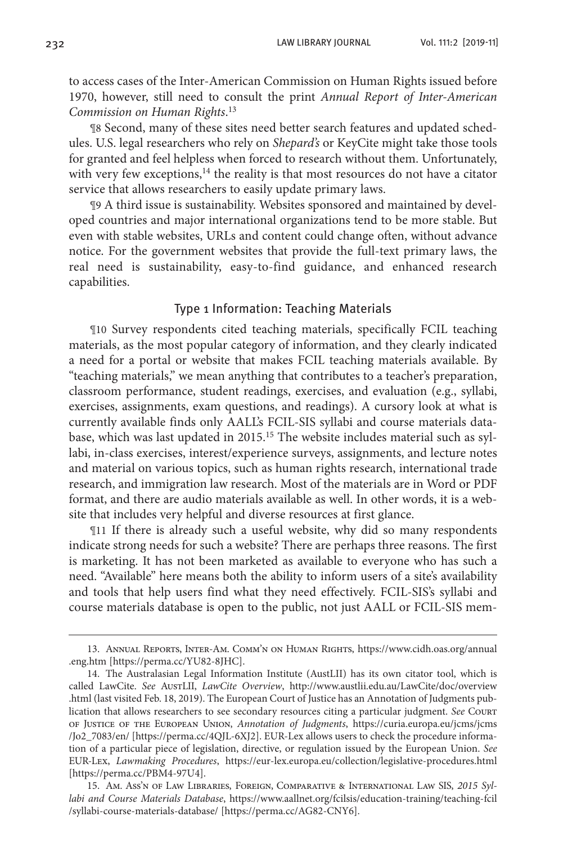to access cases of the Inter-American Commission on Human Rights issued before 1970, however, still need to consult the print *Annual Report of Inter-American Commission on Human Rights*. 13

¶8 Second, many of these sites need better search features and updated schedules. U.S. legal researchers who rely on *Shepard's* or KeyCite might take those tools for granted and feel helpless when forced to research without them. Unfortunately, with very few exceptions, $14$  the reality is that most resources do not have a citator service that allows researchers to easily update primary laws.

¶9 A third issue is sustainability. Websites sponsored and maintained by developed countries and major international organizations tend to be more stable. But even with stable websites, URLs and content could change often, without advance notice. For the government websites that provide the full-text primary laws, the real need is sustainability, easy-to-find guidance, and enhanced research capabilities.

## Type 1 Information: Teaching Materials

¶10 Survey respondents cited teaching materials, specifically FCIL teaching materials, as the most popular category of information, and they clearly indicated a need for a portal or website that makes FCIL teaching materials available. By "teaching materials," we mean anything that contributes to a teacher's preparation, classroom performance, student readings, exercises, and evaluation (e.g., syllabi, exercises, assignments, exam questions, and readings). A cursory look at what is currently available finds only AALL's FCIL-SIS syllabi and course materials database, which was last updated in 2015.<sup>15</sup> The website includes material such as syllabi, in-class exercises, interest/experience surveys, assignments, and lecture notes and material on various topics, such as human rights research, international trade research, and immigration law research. Most of the materials are in Word or PDF format, and there are audio materials available as well. In other words, it is a website that includes very helpful and diverse resources at first glance.

¶11 If there is already such a useful website, why did so many respondents indicate strong needs for such a website? There are perhaps three reasons. The first is marketing. It has not been marketed as available to everyone who has such a need. "Available" here means both the ability to inform users of a site's availability and tools that help users find what they need effectively. FCIL-SIS's syllabi and course materials database is open to the public, not just AALL or FCIL-SIS mem-

<sup>13.</sup> Annual Reports, Inter-Am. Comm'n on Human Rights, https://www.cidh.oas.org/annual .eng.htm [https://perma.cc/YU82-8JHC].

<sup>14.</sup> The Australasian Legal Information Institute (AustLII) has its own citator tool, which is called LawCite. *See* AustLII, *LawCite Overview*, http://www.austlii.edu.au/LawCite/doc/overview .html (last visited Feb. 18, 2019). The European Court of Justice has an Annotation of Judgments publication that allows researchers to see secondary resources citing a particular judgment. *See* Court of Justice of the European Union, *Annotation of Judgments*, https://curia.europa.eu/jcms/jcms /Jo2\_7083/en/ [https://perma.cc/4QJL-6XJ2]. EUR-Lex allows users to check the procedure information of a particular piece of legislation, directive, or regulation issued by the European Union. *See*  EUR-Lex, *Lawmaking Procedures*, https://eur-lex.europa.eu/collection/legislative-procedures.html [https://perma.cc/PBM4-97U4].

<sup>15.</sup> Am. Ass'n of Law Libraries, Foreign, Comparative & International Law SIS, *2015 Syllabi and Course Materials Database*, https://www.aallnet.org/fcilsis/education-training/teaching-fcil /syllabi-course-materials-database/ [https://perma.cc/AG82-CNY6].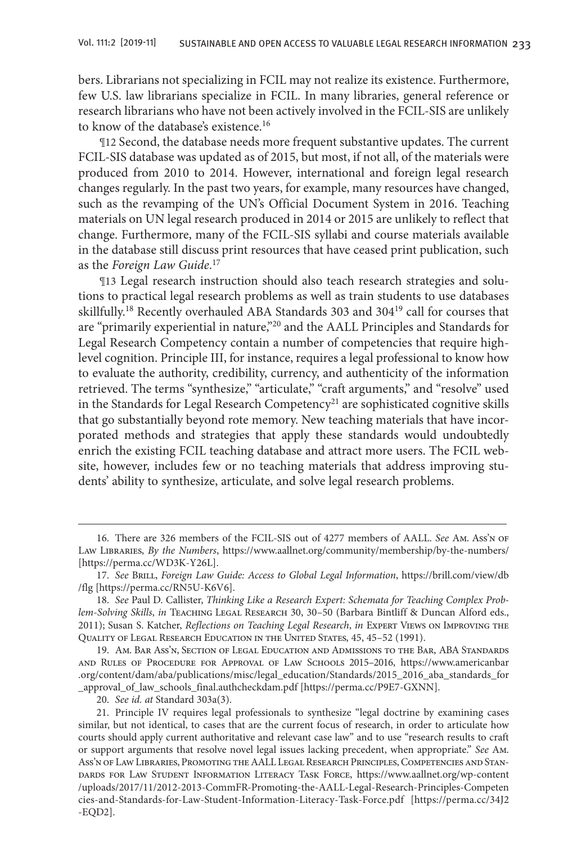bers. Librarians not specializing in FCIL may not realize its existence. Furthermore, few U.S. law librarians specialize in FCIL. In many libraries, general reference or research librarians who have not been actively involved in the FCIL-SIS are unlikely to know of the database's existence.<sup>16</sup>

¶12 Second, the database needs more frequent substantive updates. The current FCIL-SIS database was updated as of 2015, but most, if not all, of the materials were produced from 2010 to 2014. However, international and foreign legal research changes regularly. In the past two years, for example, many resources have changed, such as the revamping of the UN's Official Document System in 2016. Teaching materials on UN legal research produced in 2014 or 2015 are unlikely to reflect that change. Furthermore, many of the FCIL-SIS syllabi and course materials available in the database still discuss print resources that have ceased print publication, such as the *Foreign Law Guide*. 17

¶13 Legal research instruction should also teach research strategies and solutions to practical legal research problems as well as train students to use databases skillfully.18 Recently overhauled ABA Standards 303 and 30419 call for courses that are "primarily experiential in nature,"20 and the AALL Principles and Standards for Legal Research Competency contain a number of competencies that require highlevel cognition. Principle III, for instance, requires a legal professional to know how to evaluate the authority, credibility, currency, and authenticity of the information retrieved. The terms "synthesize," "articulate," "craft arguments," and "resolve" used in the Standards for Legal Research Competency<sup>21</sup> are sophisticated cognitive skills that go substantially beyond rote memory. New teaching materials that have incorporated methods and strategies that apply these standards would undoubtedly enrich the existing FCIL teaching database and attract more users. The FCIL website, however, includes few or no teaching materials that address improving students' ability to synthesize, articulate, and solve legal research problems.

20. *See id. at* Standard 303a(3).

<sup>16.</sup> There are 326 members of the FCIL-SIS out of 4277 members of AALL. *See* Am. Ass'n of Law Libraries, *By the Numbers*, https://www.aallnet.org/community/membership/by-the-numbers/ [https://perma.cc/WD3K-Y26L].

<sup>17.</sup> See BRILL, *Foreign Law Guide: Access to Global Legal Information*, https://brill.com/view/db /flg [https://perma.cc/RN5U-K6V6].

<sup>18.</sup> *See* Paul D. Callister, *Thinking Like a Research Expert: Schemata for Teaching Complex Problem-Solving Skills*, *in* Teaching Legal Research 30, 30–50 (Barbara Bintliff & Duncan Alford eds., 2011); Susan S. Katcher, *Reflections on Teaching Legal Research*, *in* Expert Views on Improving the Quality of Legal Research Education in the United States, 45, 45–52 (1991).

<sup>19.</sup> Am. Bar Ass'n, Section of Legal Education and Admissions to the Bar, ABA Standards and Rules of Procedure for Approval of Law Schools 2015–2016, https://www.americanbar .org/content/dam/aba/publications/misc/legal\_education/Standards/2015\_2016\_aba\_standards\_for \_approval\_of\_law\_schools\_final.authcheckdam.pdf [https://perma.cc/P9E7-GXNN].

<sup>21.</sup> Principle IV requires legal professionals to synthesize "legal doctrine by examining cases similar, but not identical, to cases that are the current focus of research, in order to articulate how courts should apply current authoritative and relevant case law" and to use "research results to craft or support arguments that resolve novel legal issues lacking precedent, when appropriate." *See* Am. Ass'n of Law Libraries, Promoting the AALL Legal Research Principles, Competencies and Standards for Law Student Information Literacy Task Force, https://www.aallnet.org/wp-content /uploads/2017/11/2012-2013-CommFR-Promoting-the-AALL-Legal-Research-Principles-Competen cies-and-Standards-for-Law-Student-Information-Literacy-Task-Force.pdf [https://perma.cc/34J2 -EQD2].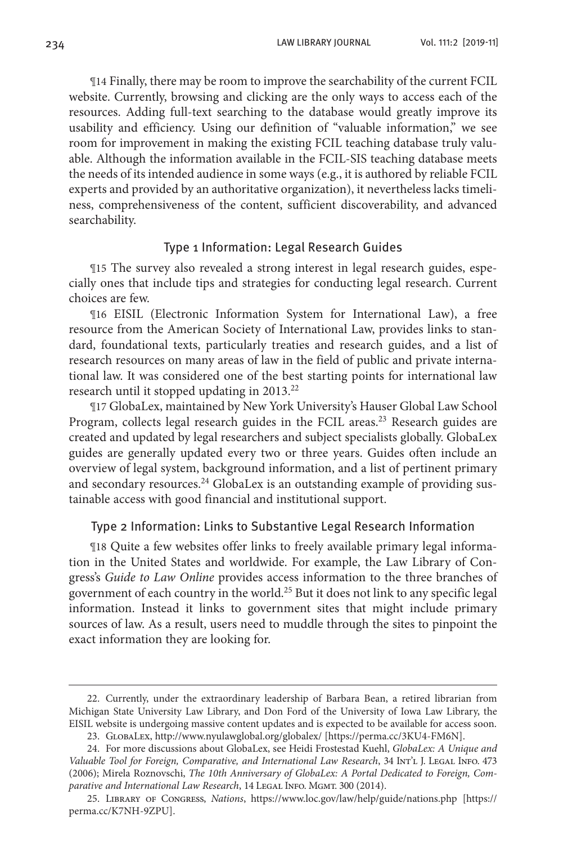234 LAW LIBRARY JOURNAL Vol. 111:2 [2019-11]

¶14 Finally, there may be room to improve the searchability of the current FCIL website. Currently, browsing and clicking are the only ways to access each of the resources. Adding full-text searching to the database would greatly improve its usability and efficiency. Using our definition of "valuable information," we see room for improvement in making the existing FCIL teaching database truly valuable. Although the information available in the FCIL-SIS teaching database meets the needs of its intended audience in some ways (e.g., it is authored by reliable FCIL experts and provided by an authoritative organization), it nevertheless lacks timeliness, comprehensiveness of the content, sufficient discoverability, and advanced searchability.

## Type 1 Information: Legal Research Guides

¶15 The survey also revealed a strong interest in legal research guides, especially ones that include tips and strategies for conducting legal research. Current choices are few.

¶16 EISIL (Electronic Information System for International Law), a free resource from the American Society of International Law, provides links to standard, foundational texts, particularly treaties and research guides, and a list of research resources on many areas of law in the field of public and private international law. It was considered one of the best starting points for international law research until it stopped updating in 2013.<sup>22</sup>

¶17 GlobaLex, maintained by New York University's Hauser Global Law School Program, collects legal research guides in the FCIL areas.<sup>23</sup> Research guides are created and updated by legal researchers and subject specialists globally. GlobaLex guides are generally updated every two or three years. Guides often include an overview of legal system, background information, and a list of pertinent primary and secondary resources.<sup>24</sup> GlobaLex is an outstanding example of providing sustainable access with good financial and institutional support.

## Type 2 Information: Links to Substantive Legal Research Information

¶18 Quite a few websites offer links to freely available primary legal information in the United States and worldwide. For example, the Law Library of Congress's *Guide to Law Online* provides access information to the three branches of government of each country in the world.<sup>25</sup> But it does not link to any specific legal information. Instead it links to government sites that might include primary sources of law. As a result, users need to muddle through the sites to pinpoint the exact information they are looking for.

<sup>22.</sup> Currently, under the extraordinary leadership of Barbara Bean, a retired librarian from Michigan State University Law Library, and Don Ford of the University of Iowa Law Library, the EISIL website is undergoing massive content updates and is expected to be available for access soon.

<sup>23.</sup> GlobaLex, http://www.nyulawglobal.org/globalex/ [https://perma.cc/3KU4-FM6N].

<sup>24.</sup> For more discussions about GlobaLex, see Heidi Frostestad Kuehl, *GlobaLex: A Unique and Valuable Tool for Foreign, Comparative, and International Law Research*, 34 Int'l J. Legal Info. 473 (2006); Mirela Roznovschi, *The 10th Anniversary of GlobaLex: A Portal Dedicated to Foreign, Com*parative and International Law Research, 14 LEGAL INFO. MGMT. 300 (2014).

<sup>25.</sup> Library of Congress, *Nations*, https://www.loc.gov/law/help/guide/nations.php [https:// perma.cc/K7NH-9ZPU].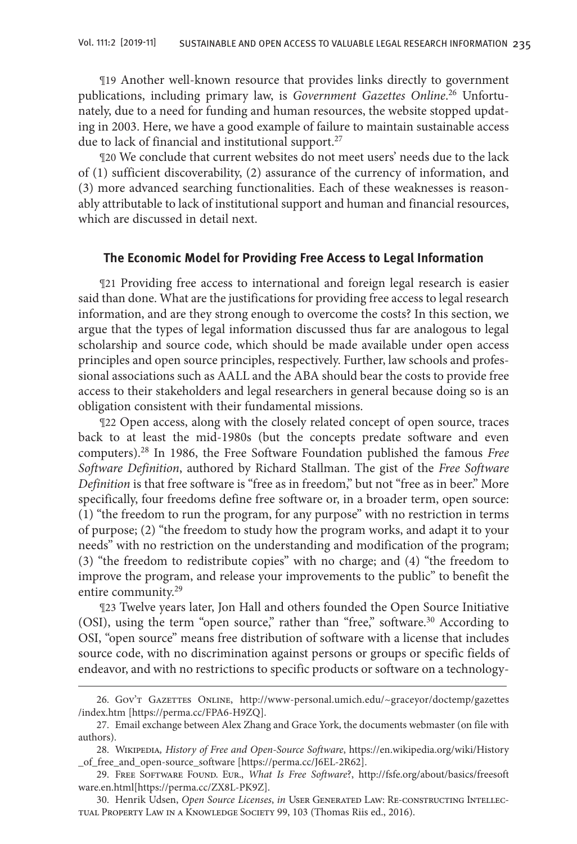¶19 Another well-known resource that provides links directly to government publications, including primary law, is *Government Gazettes Online*. 26 Unfortunately, due to a need for funding and human resources, the website stopped updating in 2003. Here, we have a good example of failure to maintain sustainable access due to lack of financial and institutional support.<sup>27</sup>

¶20 We conclude that current websites do not meet users' needs due to the lack of (1) sufficient discoverability, (2) assurance of the currency of information, and (3) more advanced searching functionalities. Each of these weaknesses is reasonably attributable to lack of institutional support and human and financial resources, which are discussed in detail next.

## **The Economic Model for Providing Free Access to Legal Information**

¶21 Providing free access to international and foreign legal research is easier said than done. What are the justifications for providing free access to legal research information, and are they strong enough to overcome the costs? In this section, we argue that the types of legal information discussed thus far are analogous to legal scholarship and source code, which should be made available under open access principles and open source principles, respectively. Further, law schools and professional associations such as AALL and the ABA should bear the costs to provide free access to their stakeholders and legal researchers in general because doing so is an obligation consistent with their fundamental missions.

¶22 Open access, along with the closely related concept of open source, traces back to at least the mid-1980s (but the concepts predate software and even computers).28 In 1986, the Free Software Foundation published the famous *Free Software Definition*, authored by Richard Stallman. The gist of the *Free Software Definition* is that free software is "free as in freedom," but not "free as in beer." More specifically, four freedoms define free software or, in a broader term, open source: (1) "the freedom to run the program, for any purpose" with no restriction in terms of purpose; (2) "the freedom to study how the program works, and adapt it to your needs" with no restriction on the understanding and modification of the program; (3) "the freedom to redistribute copies" with no charge; and (4) "the freedom to improve the program, and release your improvements to the public" to benefit the entire community.29

¶23 Twelve years later, Jon Hall and others founded the Open Source Initiative (OSI), using the term "open source," rather than "free," software.<sup>30</sup> According to OSI, "open source" means free distribution of software with a license that includes source code, with no discrimination against persons or groups or specific fields of endeavor, and with no restrictions to specific products or software on a technology-

30. Henrik Udsen, *Open Source Licenses*, *in* User Generated Law: Re-constructing Intellectual Property Law in a Knowledge Society 99, 103 (Thomas Riis ed., 2016).

<sup>26.</sup> Gov't Gazettes Online, http://www-personal.umich.edu/~graceyor/doctemp/gazettes /index.htm [https://perma.cc/FPA6-H9ZQ].

<sup>27.</sup> Email exchange between Alex Zhang and Grace York, the documents webmaster (on file with authors).

<sup>28.</sup> Wikipedia*, History of Free and Open-Source Software*, https://en.wikipedia.org/wiki/History \_of\_free\_and\_open-source\_software [https://perma.cc/J6EL-2R62].

<sup>29.</sup> Free Software Found. Eur., *What Is Free Software*?, http://fsfe.org/about/basics/freesoft ware.en.html[https://perma.cc/ZX8L-PK9Z].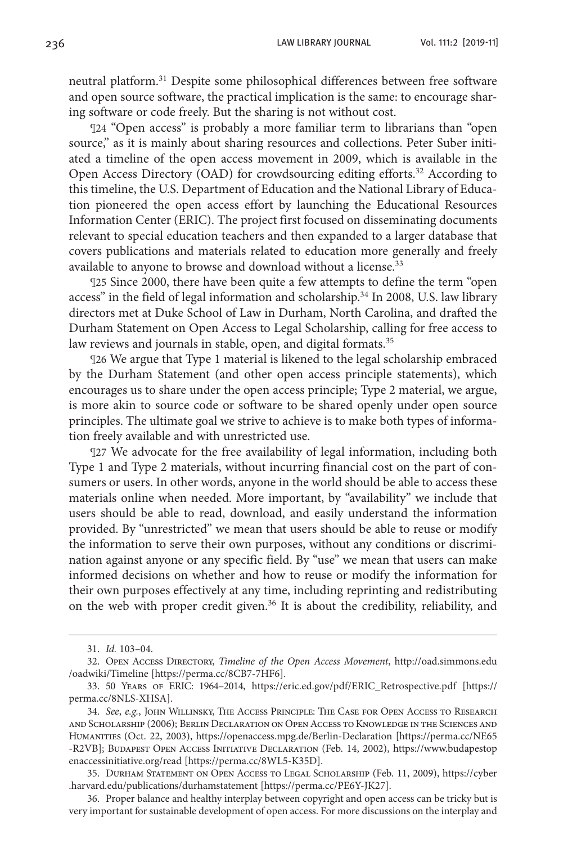neutral platform.31 Despite some philosophical differences between free software and open source software, the practical implication is the same: to encourage sharing software or code freely. But the sharing is not without cost.

¶24 "Open access" is probably a more familiar term to librarians than "open source," as it is mainly about sharing resources and collections. Peter Suber initiated a timeline of the open access movement in 2009, which is available in the Open Access Directory (OAD) for crowdsourcing editing efforts.<sup>32</sup> According to this timeline, the U.S. Department of Education and the National Library of Education pioneered the open access effort by launching the Educational Resources Information Center (ERIC). The project first focused on disseminating documents relevant to special education teachers and then expanded to a larger database that covers publications and materials related to education more generally and freely available to anyone to browse and download without a license.<sup>33</sup>

¶25 Since 2000, there have been quite a few attempts to define the term "open access" in the field of legal information and scholarship.<sup>34</sup> In 2008, U.S. law library directors met at Duke School of Law in Durham, North Carolina, and drafted the Durham Statement on Open Access to Legal Scholarship, calling for free access to law reviews and journals in stable, open, and digital formats.<sup>35</sup>

¶26 We argue that Type 1 material is likened to the legal scholarship embraced by the Durham Statement (and other open access principle statements), which encourages us to share under the open access principle; Type 2 material, we argue, is more akin to source code or software to be shared openly under open source principles. The ultimate goal we strive to achieve is to make both types of information freely available and with unrestricted use.

¶27 We advocate for the free availability of legal information, including both Type 1 and Type 2 materials, without incurring financial cost on the part of consumers or users. In other words, anyone in the world should be able to access these materials online when needed. More important, by "availability" we include that users should be able to read, download, and easily understand the information provided. By "unrestricted" we mean that users should be able to reuse or modify the information to serve their own purposes, without any conditions or discrimination against anyone or any specific field. By "use" we mean that users can make informed decisions on whether and how to reuse or modify the information for their own purposes effectively at any time, including reprinting and redistributing on the web with proper credit given.<sup>36</sup> It is about the credibility, reliability, and

<sup>31.</sup> *Id.* 103–04.

<sup>32.</sup> Open Access Directory, *Timeline of the Open Access Movement*, http://oad.simmons.edu /oadwiki/Timeline [https://perma.cc/8CB7-7HF6].

<sup>33.</sup> 50 Years of ERIC: 1964–2014, https://eric.ed.gov/pdf/ERIC\_Retrospective.pdf [https:// perma.cc/8NLS-XHSA].

<sup>34.</sup> *See*, *e.g.*, John Willinsky, The Access Principle: The Case for Open Access to Research and Scholarship (2006); Berlin Declaration on Open Access to Knowledge in the Sciences and Humanities (Oct. 22, 2003), https://openaccess.mpg.de/Berlin-Declaration [https://perma.cc/NE65 -R2VB]; Budapest Open Access Initiative Declaration (Feb. 14, 2002), https://www.budapestop enaccessinitiative.org/read [https://perma.cc/8WL5-K35D].

<sup>35.</sup> Durham Statement on Open Access to Legal Scholarship (Feb. 11, 2009), https://cyber .harvard.edu/publications/durhamstatement [https://perma.cc/PE6Y-JK27].

<sup>36.</sup> Proper balance and healthy interplay between copyright and open access can be tricky but is very important for sustainable development of open access. For more discussions on the interplay and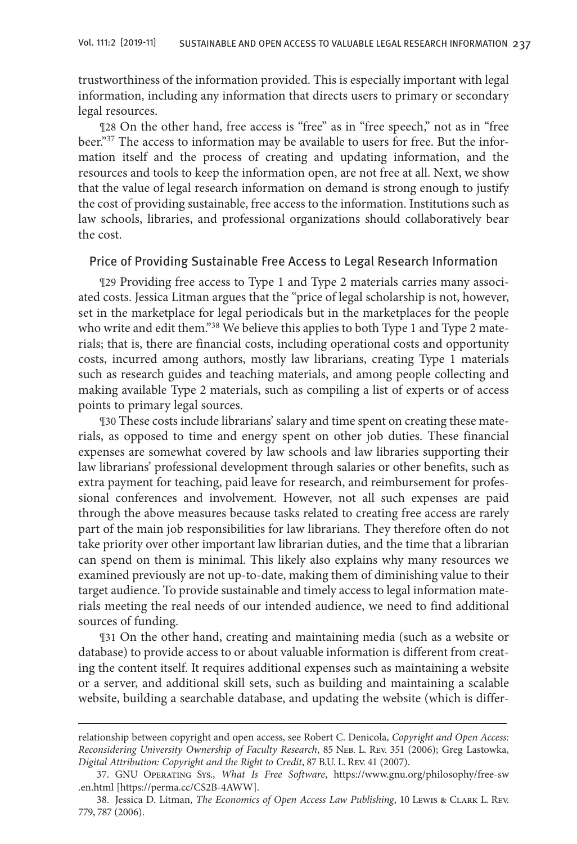trustworthiness of the information provided. This is especially important with legal information, including any information that directs users to primary or secondary legal resources.

¶28 On the other hand, free access is "free" as in "free speech," not as in "free beer."37 The access to information may be available to users for free. But the information itself and the process of creating and updating information, and the resources and tools to keep the information open, are not free at all. Next, we show that the value of legal research information on demand is strong enough to justify the cost of providing sustainable, free access to the information. Institutions such as law schools, libraries, and professional organizations should collaboratively bear the cost.

### Price of Providing Sustainable Free Access to Legal Research Information

¶29 Providing free access to Type 1 and Type 2 materials carries many associated costs. Jessica Litman argues that the "price of legal scholarship is not, however, set in the marketplace for legal periodicals but in the marketplaces for the people who write and edit them."<sup>38</sup> We believe this applies to both Type 1 and Type 2 materials; that is, there are financial costs, including operational costs and opportunity costs, incurred among authors, mostly law librarians, creating Type 1 materials such as research guides and teaching materials, and among people collecting and making available Type 2 materials, such as compiling a list of experts or of access points to primary legal sources.

¶30 These costs include librarians' salary and time spent on creating these materials, as opposed to time and energy spent on other job duties. These financial expenses are somewhat covered by law schools and law libraries supporting their law librarians' professional development through salaries or other benefits, such as extra payment for teaching, paid leave for research, and reimbursement for professional conferences and involvement. However, not all such expenses are paid through the above measures because tasks related to creating free access are rarely part of the main job responsibilities for law librarians. They therefore often do not take priority over other important law librarian duties, and the time that a librarian can spend on them is minimal. This likely also explains why many resources we examined previously are not up-to-date, making them of diminishing value to their target audience. To provide sustainable and timely access to legal information materials meeting the real needs of our intended audience, we need to find additional sources of funding.

¶31 On the other hand, creating and maintaining media (such as a website or database) to provide access to or about valuable information is different from creating the content itself. It requires additional expenses such as maintaining a website or a server, and additional skill sets, such as building and maintaining a scalable website, building a searchable database, and updating the website (which is differ-

relationship between copyright and open access, see Robert C. Denicola, *Copyright and Open Access: Reconsidering University Ownership of Faculty Research*, 85 Neb. L. Rev. 351 (2006); Greg Lastowka, *Digital Attribution: Copyright and the Right to Credit*, 87 B.U. L. Rev. 41 (2007).

<sup>37.</sup> GNU Operating Sys., *What Is Free Software*, https://www.gnu.org/philosophy/free-sw .en.html [https://perma.cc/CS2B-4AWW].

<sup>38.</sup> Jessica D. Litman, *The Economics of Open Access Law Publishing*, 10 Lewis & Clark L. Rev. 779, 787 (2006).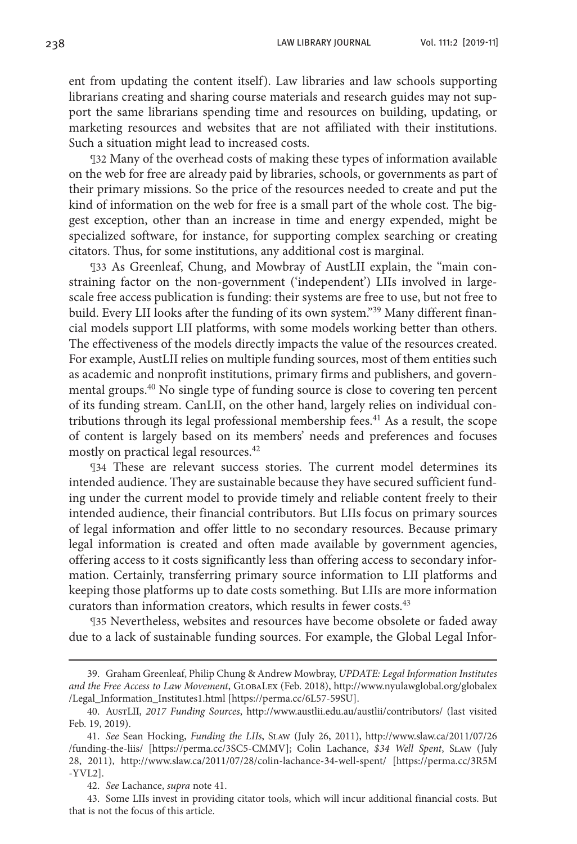238 LAW LIBRARY JOURNAL Vol. 111:2 [2019-11]

ent from updating the content itself). Law libraries and law schools supporting librarians creating and sharing course materials and research guides may not support the same librarians spending time and resources on building, updating, or marketing resources and websites that are not affiliated with their institutions. Such a situation might lead to increased costs.

¶32 Many of the overhead costs of making these types of information available on the web for free are already paid by libraries, schools, or governments as part of their primary missions. So the price of the resources needed to create and put the kind of information on the web for free is a small part of the whole cost. The biggest exception, other than an increase in time and energy expended, might be specialized software, for instance, for supporting complex searching or creating citators. Thus, for some institutions, any additional cost is marginal.

¶33 As Greenleaf, Chung, and Mowbray of AustLII explain, the "main constraining factor on the non-government ('independent') LIIs involved in largescale free access publication is funding: their systems are free to use, but not free to build. Every LII looks after the funding of its own system."<sup>39</sup> Many different financial models support LII platforms, with some models working better than others. The effectiveness of the models directly impacts the value of the resources created. For example, AustLII relies on multiple funding sources, most of them entities such as academic and nonprofit institutions, primary firms and publishers, and governmental groups.40 No single type of funding source is close to covering ten percent of its funding stream. CanLII, on the other hand, largely relies on individual contributions through its legal professional membership fees.<sup>41</sup> As a result, the scope of content is largely based on its members' needs and preferences and focuses mostly on practical legal resources.<sup>42</sup>

¶34 These are relevant success stories. The current model determines its intended audience. They are sustainable because they have secured sufficient funding under the current model to provide timely and reliable content freely to their intended audience, their financial contributors. But LIIs focus on primary sources of legal information and offer little to no secondary resources. Because primary legal information is created and often made available by government agencies, offering access to it costs significantly less than offering access to secondary information. Certainly, transferring primary source information to LII platforms and keeping those platforms up to date costs something. But LIIs are more information curators than information creators, which results in fewer costs. $43$ 

¶35 Nevertheless, websites and resources have become obsolete or faded away due to a lack of sustainable funding sources. For example, the Global Legal Infor-

<sup>39.</sup> Graham Greenleaf, Philip Chung & Andrew Mowbray, *UPDATE: Legal Information Institutes and the Free Access to Law Movement*, GlobaLex (Feb. 2018), http://www.nyulawglobal.org/globalex /Legal\_Information\_Institutes1.html [https://perma.cc/6L57-59SU].

<sup>40.</sup> AustLII, *2017 Funding Sources*, http://www.austlii.edu.au/austlii/contributors/ (last visited Feb. 19, 2019).

<sup>41.</sup> *See* Sean Hocking, *Funding the LIIs*, Slaw (July 26, 2011), http://www.slaw.ca/2011/07/26 /funding-the-liis/ [https://perma.cc/3SC5-CMMV]; Colin Lachance, *\$34 Well Spent*, Slaw (July 28, 2011), http://www.slaw.ca/2011/07/28/colin-lachance-34-well-spent/ [https://perma.cc/3R5M -YVL2].

<sup>42.</sup> *See* Lachance, *supra* note 41.

<sup>43.</sup> Some LIIs invest in providing citator tools, which will incur additional financial costs. But that is not the focus of this article.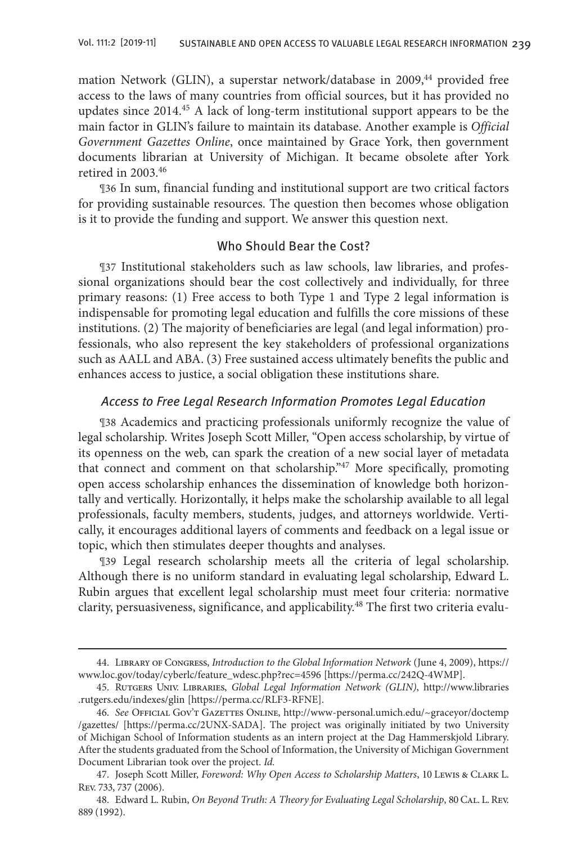mation Network (GLIN), a superstar network/database in 2009,44 provided free access to the laws of many countries from official sources, but it has provided no updates since 2014.45 A lack of long-term institutional support appears to be the main factor in GLIN's failure to maintain its database. Another example is *Official Government Gazettes Online*, once maintained by Grace York, then government documents librarian at University of Michigan. It became obsolete after York retired in 2003.46

¶36 In sum, financial funding and institutional support are two critical factors for providing sustainable resources. The question then becomes whose obligation is it to provide the funding and support. We answer this question next.

## Who Should Bear the Cost?

¶37 Institutional stakeholders such as law schools, law libraries, and professional organizations should bear the cost collectively and individually, for three primary reasons: (1) Free access to both Type 1 and Type 2 legal information is indispensable for promoting legal education and fulfills the core missions of these institutions. (2) The majority of beneficiaries are legal (and legal information) professionals, who also represent the key stakeholders of professional organizations such as AALL and ABA. (3) Free sustained access ultimately benefits the public and enhances access to justice, a social obligation these institutions share.

## Access to Free Legal Research Information Promotes Legal Education

¶38 Academics and practicing professionals uniformly recognize the value of legal scholarship. Writes Joseph Scott Miller, "Open access scholarship, by virtue of its openness on the web, can spark the creation of a new social layer of metadata that connect and comment on that scholarship."47 More specifically, promoting open access scholarship enhances the dissemination of knowledge both horizontally and vertically. Horizontally, it helps make the scholarship available to all legal professionals, faculty members, students, judges, and attorneys worldwide. Vertically, it encourages additional layers of comments and feedback on a legal issue or topic, which then stimulates deeper thoughts and analyses.

¶39 Legal research scholarship meets all the criteria of legal scholarship. Although there is no uniform standard in evaluating legal scholarship, Edward L. Rubin argues that excellent legal scholarship must meet four criteria: normative clarity, persuasiveness, significance, and applicability.48 The first two criteria evalu-

<sup>44.</sup> Library of Congress, *Introduction to the Global Information Network* (June 4, 2009), https:// www.loc.gov/today/cyberlc/feature\_wdesc.php?rec=4596 [https://perma.cc/242Q-4WMP].

<sup>45.</sup> Rutgers Univ. Libraries, *Global Legal Information Network (GLIN)*, http://www.libraries .rutgers.edu/indexes/glin [https://perma.cc/RLF3-RFNE].

<sup>46.</sup> *See* Official Gov't Gazettes Online, http://www-personal.umich.edu/~graceyor/doctemp /gazettes/ [https://perma.cc/2UNX-SADA]. The project was originally initiated by two University of Michigan School of Information students as an intern project at the Dag Hammerskjold Library. After the students graduated from the School of Information, the University of Michigan Government Document Librarian took over the project. *Id.*

<sup>47.</sup> Joseph Scott Miller, *Foreword: Why Open Access to Scholarship Matters*, 10 Lewis & Clark L. Rev. 733, 737 (2006).

<sup>48.</sup> Edward L. Rubin, *On Beyond Truth: A Theory for Evaluating Legal Scholarship*, 80 CAL. L. Rev. 889 (1992).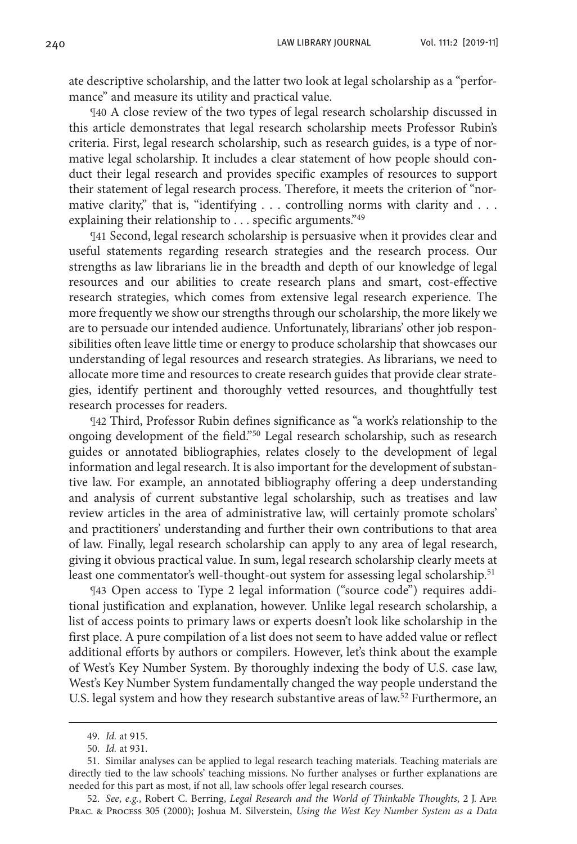ate descriptive scholarship, and the latter two look at legal scholarship as a "performance" and measure its utility and practical value.

¶40 A close review of the two types of legal research scholarship discussed in this article demonstrates that legal research scholarship meets Professor Rubin's criteria. First, legal research scholarship, such as research guides, is a type of normative legal scholarship. It includes a clear statement of how people should conduct their legal research and provides specific examples of resources to support their statement of legal research process. Therefore, it meets the criterion of "normative clarity," that is, "identifying . . . controlling norms with clarity and . . . explaining their relationship to . . . specific arguments."49

¶41 Second, legal research scholarship is persuasive when it provides clear and useful statements regarding research strategies and the research process. Our strengths as law librarians lie in the breadth and depth of our knowledge of legal resources and our abilities to create research plans and smart, cost-effective research strategies, which comes from extensive legal research experience. The more frequently we show our strengths through our scholarship, the more likely we are to persuade our intended audience. Unfortunately, librarians' other job responsibilities often leave little time or energy to produce scholarship that showcases our understanding of legal resources and research strategies. As librarians, we need to allocate more time and resources to create research guides that provide clear strategies, identify pertinent and thoroughly vetted resources, and thoughtfully test research processes for readers.

¶42 Third, Professor Rubin defines significance as "a work's relationship to the ongoing development of the field."50 Legal research scholarship, such as research guides or annotated bibliographies, relates closely to the development of legal information and legal research. It is also important for the development of substantive law. For example, an annotated bibliography offering a deep understanding and analysis of current substantive legal scholarship, such as treatises and law review articles in the area of administrative law, will certainly promote scholars' and practitioners' understanding and further their own contributions to that area of law. Finally, legal research scholarship can apply to any area of legal research, giving it obvious practical value. In sum, legal research scholarship clearly meets at least one commentator's well-thought-out system for assessing legal scholarship.<sup>51</sup>

¶43 Open access to Type 2 legal information ("source code") requires additional justification and explanation, however. Unlike legal research scholarship, a list of access points to primary laws or experts doesn't look like scholarship in the first place. A pure compilation of a list does not seem to have added value or reflect additional efforts by authors or compilers. However, let's think about the example of West's Key Number System. By thoroughly indexing the body of U.S. case law, West's Key Number System fundamentally changed the way people understand the U.S. legal system and how they research substantive areas of law.<sup>52</sup> Furthermore, an

52. *See*, *e.g.*, Robert C. Berring, *Legal Research and the World of Thinkable Thoughts*, 2 J. App. Prac. & Process 305 (2000); Joshua M. Silverstein, *Using the West Key Number System as a Data* 

<sup>49.</sup> *Id.* at 915.

<sup>50.</sup> *Id.* at 931.

<sup>51.</sup> Similar analyses can be applied to legal research teaching materials. Teaching materials are directly tied to the law schools' teaching missions. No further analyses or further explanations are needed for this part as most, if not all, law schools offer legal research courses.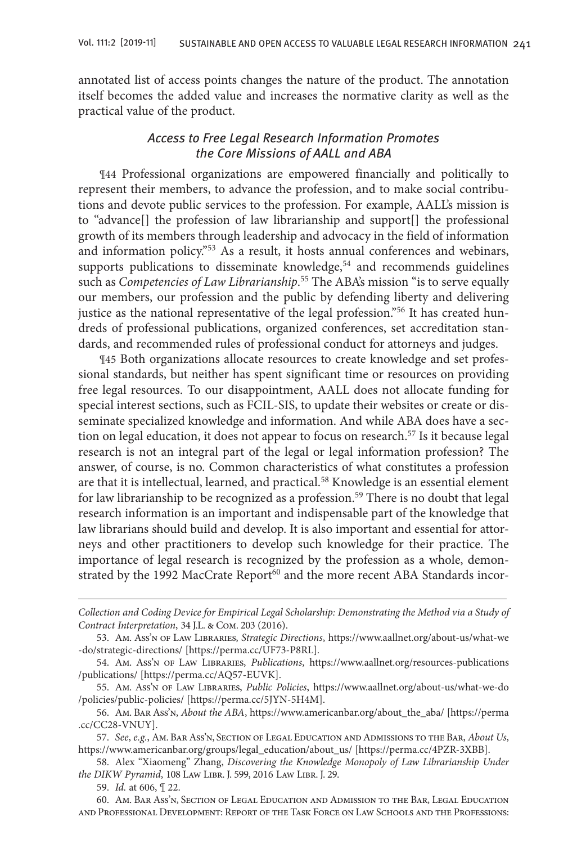annotated list of access points changes the nature of the product. The annotation itself becomes the added value and increases the normative clarity as well as the practical value of the product.

## Access to Free Legal Research Information Promotes the Core Missions of AALL and ABA

¶44 Professional organizations are empowered financially and politically to represent their members, to advance the profession, and to make social contributions and devote public services to the profession. For example, AALL's mission is to "advance[] the profession of law librarianship and support[] the professional growth of its members through leadership and advocacy in the field of information and information policy."53 As a result, it hosts annual conferences and webinars, supports publications to disseminate knowledge,<sup>54</sup> and recommends guidelines such as *Competencies of Law Librarianship*. 55 The ABA's mission "is to serve equally our members, our profession and the public by defending liberty and delivering justice as the national representative of the legal profession."56 It has created hundreds of professional publications, organized conferences, set accreditation standards, and recommended rules of professional conduct for attorneys and judges.

¶45 Both organizations allocate resources to create knowledge and set professional standards, but neither has spent significant time or resources on providing free legal resources. To our disappointment, AALL does not allocate funding for special interest sections, such as FCIL-SIS, to update their websites or create or disseminate specialized knowledge and information. And while ABA does have a section on legal education, it does not appear to focus on research.<sup>57</sup> Is it because legal research is not an integral part of the legal or legal information profession? The answer, of course, is no. Common characteristics of what constitutes a profession are that it is intellectual, learned, and practical.58 Knowledge is an essential element for law librarianship to be recognized as a profession.<sup>59</sup> There is no doubt that legal research information is an important and indispensable part of the knowledge that law librarians should build and develop. It is also important and essential for attorneys and other practitioners to develop such knowledge for their practice. The importance of legal research is recognized by the profession as a whole, demonstrated by the 1992 MacCrate Report<sup>60</sup> and the more recent ABA Standards incor-

*Collection and Coding Device for Empirical Legal Scholarship: Demonstrating the Method via a Study of Contract Interpretation*, 34 J.L. & Com. 203 (2016).

<sup>53.</sup> Am. Ass'n of Law Libraries, *Strategic Directions*, https://www.aallnet.org/about-us/what-we -do/strategic-directions/ [https://perma.cc/UF73-P8RL].

<sup>54.</sup> Am. Ass'n of Law Libraries, *Publications*, https://www.aallnet.org/resources-publications /publications/ [https://perma.cc/AQ57-EUVK].

<sup>55.</sup> Am. Ass'n of Law Libraries, *Public Policies*, https://www.aallnet.org/about-us/what-we-do /policies/public-policies/ [https://perma.cc/5JYN-5H4M].

<sup>56.</sup> Am. Bar Ass'n, *About the ABA*, https://www.americanbar.org/about\_the\_aba/ [https://perma .cc/CC28-VNUY].

<sup>57.</sup> *See*, *e.g.*, Am. Bar Ass'n, Section of Legal Education and Admissions to the Bar, *About Us*, https://www.americanbar.org/groups/legal\_education/about\_us/ [https://perma.cc/4PZR-3XBB].

<sup>58.</sup> Alex "Xiaomeng" Zhang, *Discovering the Knowledge Monopoly of Law Librarianship Under the DIKW Pyramid*, 108 Law Libr. J. 599, 2016 Law Libr. J. 29.

<sup>59.</sup> *Id.* at 606, ¶ 22.

<sup>60.</sup> Am. Bar Ass'n, Section of Legal Education and Admission to the Bar, Legal Education and Professional Development: Report of the Task Force on Law Schools and the Professions: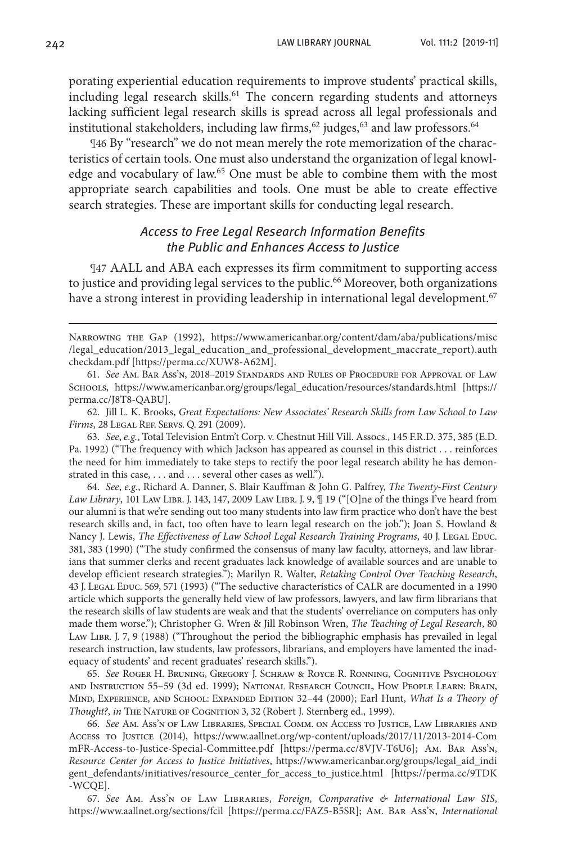242 LAW LIBRARY JOURNAL Vol. 111:2 [2019-11]

porating experiential education requirements to improve students' practical skills, including legal research skills.<sup>61</sup> The concern regarding students and attorneys lacking sufficient legal research skills is spread across all legal professionals and institutional stakeholders, including law firms,  $62$  judges,  $63$  and law professors.  $64$ 

¶46 By "research" we do not mean merely the rote memorization of the characteristics of certain tools. One must also understand the organization of legal knowledge and vocabulary of law.<sup>65</sup> One must be able to combine them with the most appropriate search capabilities and tools. One must be able to create effective search strategies. These are important skills for conducting legal research.

## Access to Free Legal Research Information Benefits the Public and Enhances Access to Justice

¶47 AALL and ABA each expresses its firm commitment to supporting access to justice and providing legal services to the public.<sup>66</sup> Moreover, both organizations have a strong interest in providing leadership in international legal development.<sup>67</sup>

NARROWING THE GAP (1992), https://www.americanbar.org/content/dam/aba/publications/misc /legal\_education/2013\_legal\_education\_and\_professional\_development\_maccrate\_report).auth checkdam.pdf [https://perma.cc/XUW8-A62M].

61. *See* Am. Bar Ass'n, 2018–2019 Standards and Rules of Procedure for Approval of Law Schools, https://www.americanbar.org/groups/legal\_education/resources/standards.html [https:// perma.cc/J8T8-QABU].

62. Jill L. K. Brooks, *Great Expectations: New Associates' Research Skills from Law School to Law Firms*, 28 Legal Ref. Servs. Q. 291 (2009).

63. *See*, *e.g.*, Total Television Entm't Corp. v. Chestnut Hill Vill. Assocs., 145 F.R.D. 375, 385 (E.D. Pa. 1992) ("The frequency with which Jackson has appeared as counsel in this district . . . reinforces the need for him immediately to take steps to rectify the poor legal research ability he has demonstrated in this case, . . . and . . . several other cases as well.").

64. *See*, *e.g.*, Richard A. Danner, S. Blair Kauffman & John G. Palfrey, *The Twenty-First Century Law Library*, 101 Law Libr. J. 143, 147, 2009 Law Libr. J. 9,  $\parallel$  19 ("[O]ne of the things I've heard from our alumni is that we're sending out too many students into law firm practice who don't have the best research skills and, in fact, too often have to learn legal research on the job."); Joan S. Howland & Nancy J. Lewis, *The Effectiveness of Law School Legal Research Training Programs*, 40 J. Legal Educ. 381, 383 (1990) ("The study confirmed the consensus of many law faculty, attorneys, and law librarians that summer clerks and recent graduates lack knowledge of available sources and are unable to develop efficient research strategies."); Marilyn R. Walter, *Retaking Control Over Teaching Research*, 43 J. LEGAL EDUC. 569, 571 (1993) ("The seductive characteristics of CALR are documented in a 1990 article which supports the generally held view of law professors, lawyers, and law firm librarians that the research skills of law students are weak and that the students' overreliance on computers has only made them worse."); Christopher G. Wren & Jill Robinson Wren, *The Teaching of Legal Research*, 80 Law Libr. J. 7, 9 (1988) ("Throughout the period the bibliographic emphasis has prevailed in legal research instruction, law students, law professors, librarians, and employers have lamented the inadequacy of students' and recent graduates' research skills.").

65. *See* Roger H. Bruning, Gregory J. Schraw & Royce R. Ronning, Cognitive Psychology and Instruction 55–59 (3d ed. 1999); National Research Council, How People Learn: Brain, Mind, Experience, and School: Expanded Edition 32–44 (2000); Earl Hunt, *What Is a Theory of Thought?*, *in* The Nature of Cognition 3, 32 (Robert J. Sternberg ed., 1999).

66. *See* Am. Ass'n of Law Libraries, Special Comm. on Access to Justice, Law Libraries and Access to Justice (2014), https://www.aallnet.org/wp-content/uploads/2017/11/2013-2014-Com mFR-Access-to-Justice-Special-Committee.pdf [https://perma.cc/8VJV-T6U6]; Am. Bar Ass'n, *Resource Center for Access to Justice Initiatives*, https://www.americanbar.org/groups/legal\_aid\_indi gent\_defendants/initiatives/resource\_center\_for\_access\_to\_justice.html [https://perma.cc/9TDK -WCQE].

67. *See* Am. Ass'n of Law Libraries, *Foreign, Comparative & International Law SIS*, https://www.aallnet.org/sections/fcil [https://perma.cc/FAZ5-B5SR]; Am. Bar Ass'n, *International*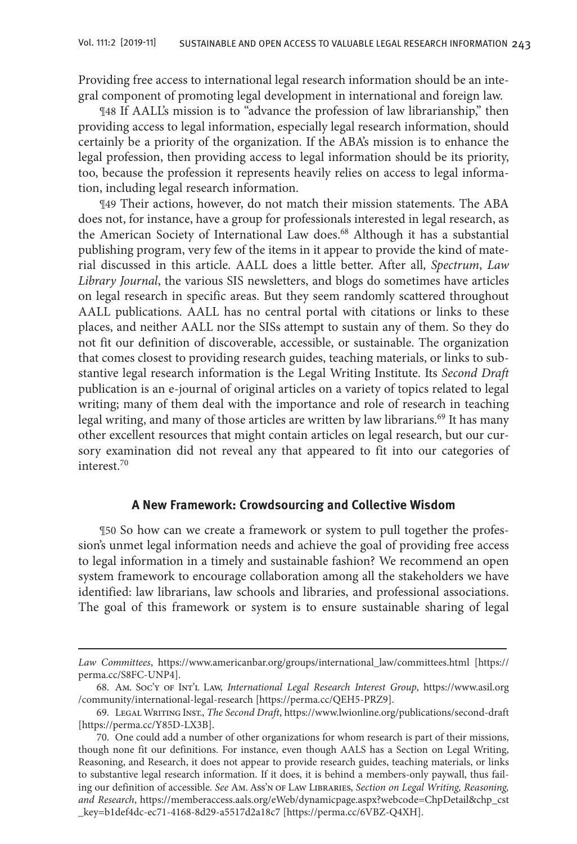Providing free access to international legal research information should be an integral component of promoting legal development in international and foreign law.

¶48 If AALL's mission is to "advance the profession of law librarianship," then providing access to legal information, especially legal research information, should certainly be a priority of the organization. If the ABA's mission is to enhance the legal profession, then providing access to legal information should be its priority, too, because the profession it represents heavily relies on access to legal information, including legal research information.

¶49 Their actions, however, do not match their mission statements. The ABA does not, for instance, have a group for professionals interested in legal research, as the American Society of International Law does.<sup>68</sup> Although it has a substantial publishing program, very few of the items in it appear to provide the kind of material discussed in this article. AALL does a little better. After all, *Spectrum*, *Law Library Journal*, the various SIS newsletters, and blogs do sometimes have articles on legal research in specific areas. But they seem randomly scattered throughout AALL publications. AALL has no central portal with citations or links to these places, and neither AALL nor the SISs attempt to sustain any of them. So they do not fit our definition of discoverable, accessible, or sustainable. The organization that comes closest to providing research guides, teaching materials, or links to substantive legal research information is the Legal Writing Institute. Its *Second Draft* publication is an e-journal of original articles on a variety of topics related to legal writing; many of them deal with the importance and role of research in teaching legal writing, and many of those articles are written by law librarians.<sup>69</sup> It has many other excellent resources that might contain articles on legal research, but our cursory examination did not reveal any that appeared to fit into our categories of interest.70

## **A New Framework: Crowdsourcing and Collective Wisdom**

¶50 So how can we create a framework or system to pull together the profession's unmet legal information needs and achieve the goal of providing free access to legal information in a timely and sustainable fashion? We recommend an open system framework to encourage collaboration among all the stakeholders we have identified: law librarians, law schools and libraries, and professional associations. The goal of this framework or system is to ensure sustainable sharing of legal

*Law Committees*, https://www.americanbar.org/groups/international\_law/committees.html [https:// perma.cc/S8FC-UNP4].

<sup>68.</sup> Am. Soc'y of Int'l Law, *International Legal Research Interest Group*, https://www.asil.org /community/international-legal-research [https://perma.cc/QEH5-PRZ9].

<sup>69.</sup> Legal Writing Inst., *The Second Draft*, https://www.lwionline.org/publications/second-draft [https://perma.cc/Y85D-LX3B].

<sup>70.</sup> One could add a number of other organizations for whom research is part of their missions, though none fit our definitions. For instance, even though AALS has a Section on Legal Writing, Reasoning, and Research, it does not appear to provide research guides, teaching materials, or links to substantive legal research information. If it does, it is behind a members-only paywall, thus failing our definition of accessible. *See* Am. Ass'n of Law Libraries, *Section on Legal Writing, Reasoning, and Research*, https://memberaccess.aals.org/eWeb/dynamicpage.aspx?webcode=ChpDetail&chp\_cst \_key=b1def4dc-ec71-4168-8d29-a5517d2a18c7 [https://perma.cc/6VBZ-Q4XH].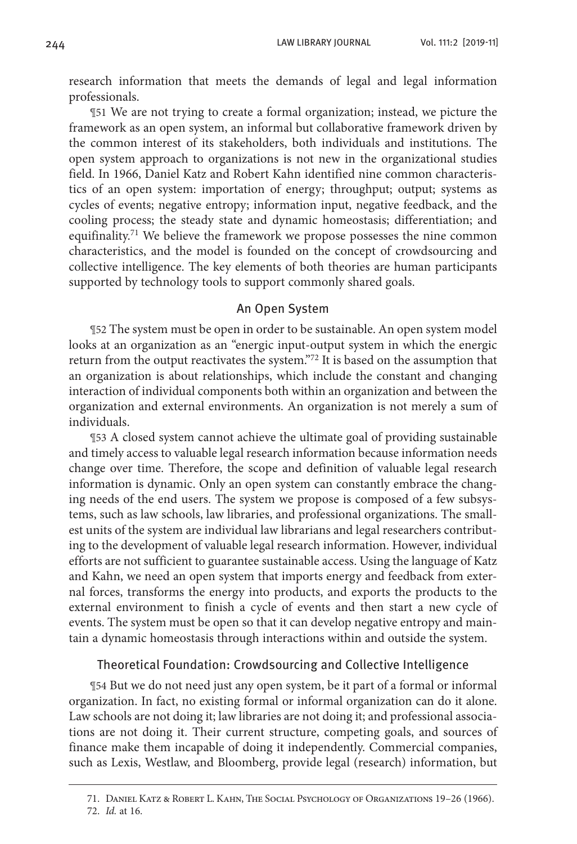research information that meets the demands of legal and legal information professionals.

¶51 We are not trying to create a formal organization; instead, we picture the framework as an open system, an informal but collaborative framework driven by the common interest of its stakeholders, both individuals and institutions. The open system approach to organizations is not new in the organizational studies field. In 1966, Daniel Katz and Robert Kahn identified nine common characteristics of an open system: importation of energy; throughput; output; systems as cycles of events; negative entropy; information input, negative feedback, and the cooling process; the steady state and dynamic homeostasis; differentiation; and equifinality.<sup>71</sup> We believe the framework we propose possesses the nine common characteristics, and the model is founded on the concept of crowdsourcing and collective intelligence. The key elements of both theories are human participants supported by technology tools to support commonly shared goals.

### An Open System

¶52 The system must be open in order to be sustainable. An open system model looks at an organization as an "energic input-output system in which the energic return from the output reactivates the system."72 It is based on the assumption that an organization is about relationships, which include the constant and changing interaction of individual components both within an organization and between the organization and external environments. An organization is not merely a sum of individuals.

¶53 A closed system cannot achieve the ultimate goal of providing sustainable and timely access to valuable legal research information because information needs change over time. Therefore, the scope and definition of valuable legal research information is dynamic. Only an open system can constantly embrace the changing needs of the end users. The system we propose is composed of a few subsystems, such as law schools, law libraries, and professional organizations. The smallest units of the system are individual law librarians and legal researchers contributing to the development of valuable legal research information. However, individual efforts are not sufficient to guarantee sustainable access. Using the language of Katz and Kahn, we need an open system that imports energy and feedback from external forces, transforms the energy into products, and exports the products to the external environment to finish a cycle of events and then start a new cycle of events. The system must be open so that it can develop negative entropy and maintain a dynamic homeostasis through interactions within and outside the system.

## Theoretical Foundation: Crowdsourcing and Collective Intelligence

¶54 But we do not need just any open system, be it part of a formal or informal organization. In fact, no existing formal or informal organization can do it alone. Law schools are not doing it; law libraries are not doing it; and professional associations are not doing it. Their current structure, competing goals, and sources of finance make them incapable of doing it independently. Commercial companies, such as Lexis, Westlaw, and Bloomberg, provide legal (research) information, but

<sup>71.</sup> Daniel Katz & Robert L. Kahn, The Social Psychology of Organizations 19–26 (1966). 72. *Id.* at 16.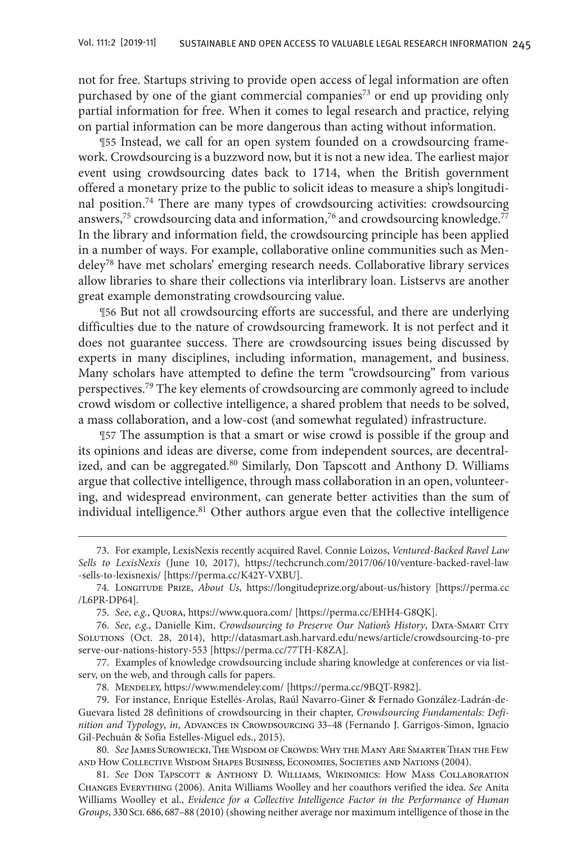not for free. Startups striving to provide open access of legal information are often purchased by one of the giant commercial companies<sup>73</sup> or end up providing only partial information for free. When it comes to legal research and practice, relying on partial information can be more dangerous than acting without information.

¶55 Instead, we call for an open system founded on a crowdsourcing framework. Crowdsourcing is a buzzword now, but it is not a new idea. The earliest major event using crowdsourcing dates back to 1714, when the British government offered a monetary prize to the public to solicit ideas to measure a ship's longitudinal position.74 There are many types of crowdsourcing activities: crowdsourcing answers,<sup>75</sup> crowdsourcing data and information,<sup>76</sup> and crowdsourcing knowledge.<sup>77</sup> In the library and information field, the crowdsourcing principle has been applied in a number of ways. For example, collaborative online communities such as Mendeley78 have met scholars' emerging research needs. Collaborative library services allow libraries to share their collections via interlibrary loan. Listservs are another great example demonstrating crowdsourcing value.

¶56 But not all crowdsourcing efforts are successful, and there are underlying difficulties due to the nature of crowdsourcing framework. It is not perfect and it does not guarantee success. There are crowdsourcing issues being discussed by experts in many disciplines, including information, management, and business. Many scholars have attempted to define the term "crowdsourcing" from various perspectives.<sup>79</sup> The key elements of crowdsourcing are commonly agreed to include crowd wisdom or collective intelligence, a shared problem that needs to be solved, a mass collaboration, and a low-cost (and somewhat regulated) infrastructure.

¶57 The assumption is that a smart or wise crowd is possible if the group and its opinions and ideas are diverse, come from independent sources, are decentralized, and can be aggregated.<sup>80</sup> Similarly, Don Tapscott and Anthony D. Williams argue that collective intelligence, through mass collaboration in an open, volunteering, and widespread environment, can generate better activities than the sum of individual intelligence.<sup>81</sup> Other authors argue even that the collective intelligence

<sup>73.</sup> For example, LexisNexis recently acquired Ravel. Connie Loizos, *Ventured-Backed Ravel Law Sells to LexisNexis* (June 10, 2017), https://techcrunch.com/2017/06/10/venture-backed-ravel-law -sells-to-lexisnexis/ [https://perma.cc/K42Y-VXBU].

<sup>74.</sup> Longitude Prize, *About Us*, https://longitudeprize.org/about-us/history [https://perma.cc /L6PR-DP64].

<sup>75.</sup> *See*, *e.g.*, Quora, https://www.quora.com/ [https://perma.cc/EHH4-G8QK].

<sup>76.</sup> *See*, *e.g.*, Danielle Kim, *Crowdsourcing to Preserve Our Nation's History*, Data-Smart City Solutions (Oct. 28, 2014), http://datasmart.ash.harvard.edu/news/article/crowdsourcing-to-pre serve-our-nations-history-553 [https://perma.cc/77TH-K8ZA].

<sup>77.</sup> Examples of knowledge crowdsourcing include sharing knowledge at conferences or via listserv, on the web, and through calls for papers.

<sup>78.</sup> Mendeley, https://www.mendeley.com/ [https://perma.cc/9BQT-R982].

<sup>79.</sup> For instance, Enrique Estellés-Arolas, Raúl Navarro-Giner & Fernado González-Ladrán-de-Guevara listed 28 definitions of crowdsourcing in their chapter, *Crowdsourcing Fundamentals: Definition and Typology*, *in*, Advances in Crowdsourcing 33–48 (Fernando J. Garrigos-Simon, Ignacio Gil-Pechuán & Sofia Estelles-Miguel eds., 2015).

<sup>80.</sup> *See* James Surowiecki, The Wisdom of Crowds: Why the Many Are Smarter Than the Few and How Collective Wisdom Shapes Business, Economies, Societies and Nations (2004).

<sup>81.</sup> *See* Don Tapscott & Anthony D. Williams, Wikinomics: How Mass Collaboration Changes Everything (2006). Anita Williams Woolley and her coauthors verified the idea. *See* Anita Williams Woolley et al., *Evidence for a Collective Intelligence Factor in the Performance of Human Groups*, 330 Sci. 686, 687–88 (2010) (showing neither average nor maximum intelligence of those in the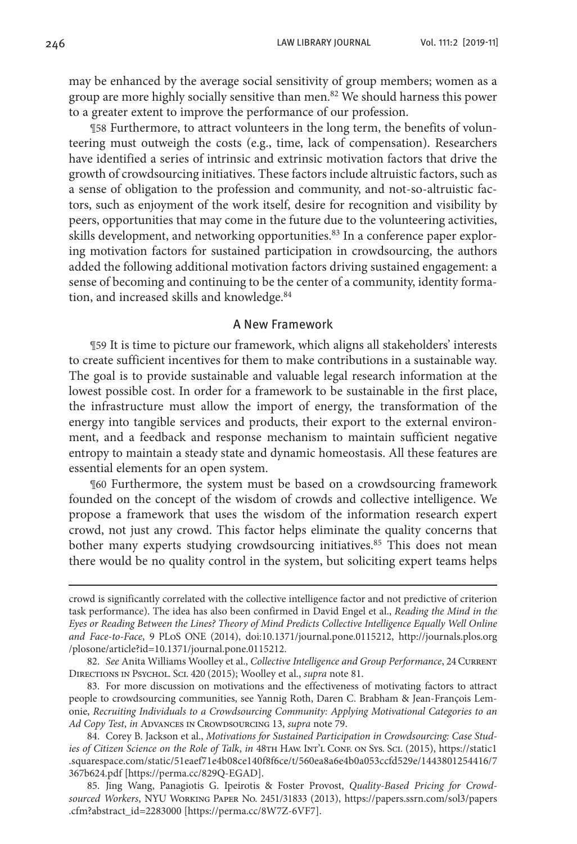may be enhanced by the average social sensitivity of group members; women as a group are more highly socially sensitive than men.<sup>82</sup> We should harness this power to a greater extent to improve the performance of our profession.

¶58 Furthermore, to attract volunteers in the long term, the benefits of volunteering must outweigh the costs (e.g., time, lack of compensation). Researchers have identified a series of intrinsic and extrinsic motivation factors that drive the growth of crowdsourcing initiatives. These factors include altruistic factors, such as a sense of obligation to the profession and community, and not-so-altruistic factors, such as enjoyment of the work itself, desire for recognition and visibility by peers, opportunities that may come in the future due to the volunteering activities, skills development, and networking opportunities.<sup>83</sup> In a conference paper exploring motivation factors for sustained participation in crowdsourcing, the authors added the following additional motivation factors driving sustained engagement: a sense of becoming and continuing to be the center of a community, identity formation, and increased skills and knowledge.<sup>84</sup>

## A New Framework

¶59 It is time to picture our framework, which aligns all stakeholders' interests to create sufficient incentives for them to make contributions in a sustainable way. The goal is to provide sustainable and valuable legal research information at the lowest possible cost. In order for a framework to be sustainable in the first place, the infrastructure must allow the import of energy, the transformation of the energy into tangible services and products, their export to the external environment, and a feedback and response mechanism to maintain sufficient negative entropy to maintain a steady state and dynamic homeostasis. All these features are essential elements for an open system.

¶60 Furthermore, the system must be based on a crowdsourcing framework founded on the concept of the wisdom of crowds and collective intelligence. We propose a framework that uses the wisdom of the information research expert crowd, not just any crowd. This factor helps eliminate the quality concerns that bother many experts studying crowdsourcing initiatives.<sup>85</sup> This does not mean there would be no quality control in the system, but soliciting expert teams helps

crowd is significantly correlated with the collective intelligence factor and not predictive of criterion task performance). The idea has also been confirmed in David Engel et al., *Reading the Mind in the Eyes or Reading Between the Lines? Theory of Mind Predicts Collective Intelligence Equally Well Online and Face-to-Face*, 9 PLoS ONE (2014), doi:10.1371/journal.pone.0115212, http://journals.plos.org /plosone/article?id=10.1371/journal.pone.0115212.

<sup>82.</sup> See Anita Williams Woolley et al., *Collective Intelligence and Group Performance*, 24 CURRENT Directions in Psychol. Sci. 420 (2015); Woolley et al., *supra* note 81.

<sup>83.</sup> For more discussion on motivations and the effectiveness of motivating factors to attract people to crowdsourcing communities, see Yannig Roth, Daren C. Brabham & Jean-François Lemonie, *Recruiting Individuals to a Crowdsourcing Community: Applying Motivational Categories to an Ad Copy Test*, *in* Advances in Crowdsourcing 13, *supra* note 79.

<sup>84.</sup> Corey B. Jackson et al., *Motivations for Sustained Participation in Crowdsourcing: Case Studies of Citizen Science on the Role of Talk, in 48TH HAW. INT'L CONF. ON Sys. Sci. (2015), https://static1* .squarespace.com/static/51eaef71e4b08ce140f8f6ce/t/560ea8a6e4b0a053ccfd529e/1443801254416/7 367b624.pdf [https://perma.cc/829Q-EGAD].

<sup>85.</sup> Jing Wang, Panagiotis G. Ipeirotis & Foster Provost, *Quality-Based Pricing for Crowdsourced Workers*, NYU Working Paper No. 2451/31833 (2013), https://papers.ssrn.com/sol3/papers .cfm?abstract\_id=2283000 [https://perma.cc/8W7Z-6VF7].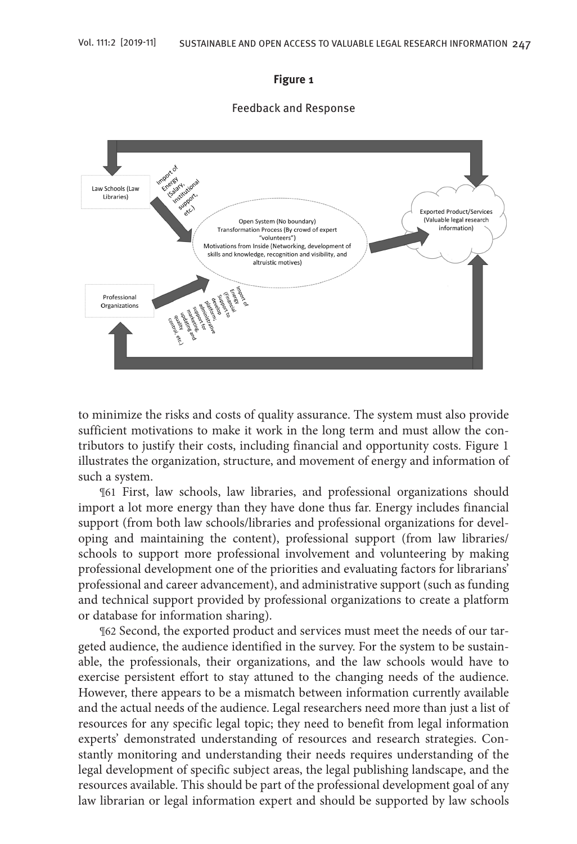#### **Figure 1**

#### Feedback and Response



to minimize the risks and costs of quality assurance. The system must also provide sufficient motivations to make it work in the long term and must allow the contributors to justify their costs, including financial and opportunity costs. Figure 1 illustrates the organization, structure, and movement of energy and information of such a system.

¶61 First, law schools, law libraries, and professional organizations should import a lot more energy than they have done thus far. Energy includes financial support (from both law schools/libraries and professional organizations for developing and maintaining the content), professional support (from law libraries/ schools to support more professional involvement and volunteering by making professional development one of the priorities and evaluating factors for librarians' professional and career advancement), and administrative support (such as funding and technical support provided by professional organizations to create a platform or database for information sharing).

¶62 Second, the exported product and services must meet the needs of our targeted audience, the audience identified in the survey. For the system to be sustainable, the professionals, their organizations, and the law schools would have to exercise persistent effort to stay attuned to the changing needs of the audience. However, there appears to be a mismatch between information currently available and the actual needs of the audience. Legal researchers need more than just a list of resources for any specific legal topic; they need to benefit from legal information experts' demonstrated understanding of resources and research strategies. Constantly monitoring and understanding their needs requires understanding of the legal development of specific subject areas, the legal publishing landscape, and the resources available. This should be part of the professional development goal of any law librarian or legal information expert and should be supported by law schools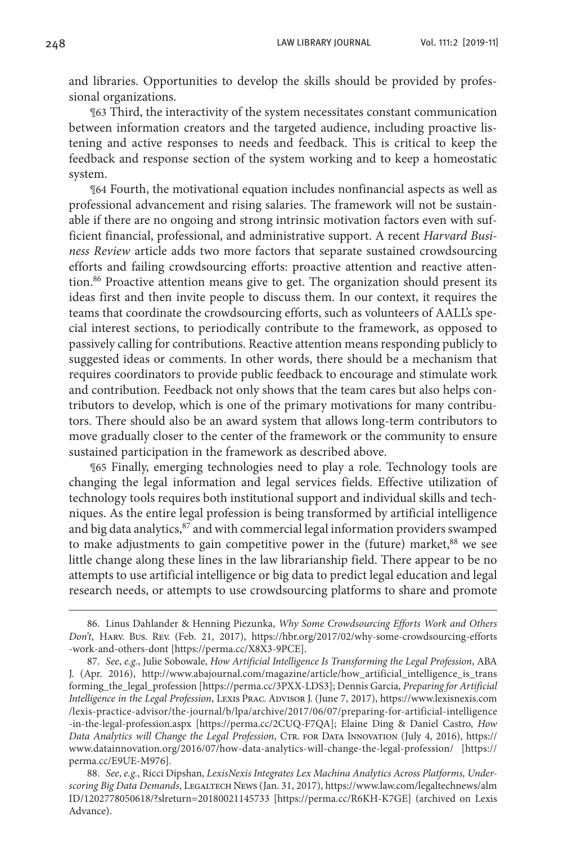and libraries. Opportunities to develop the skills should be provided by professional organizations.

¶63 Third, the interactivity of the system necessitates constant communication between information creators and the targeted audience, including proactive listening and active responses to needs and feedback. This is critical to keep the feedback and response section of the system working and to keep a homeostatic system.

¶64 Fourth, the motivational equation includes nonfinancial aspects as well as professional advancement and rising salaries. The framework will not be sustainable if there are no ongoing and strong intrinsic motivation factors even with sufficient financial, professional, and administrative support. A recent *Harvard Business Review* article adds two more factors that separate sustained crowdsourcing efforts and failing crowdsourcing efforts: proactive attention and reactive attention.<sup>86</sup> Proactive attention means give to get. The organization should present its ideas first and then invite people to discuss them. In our context, it requires the teams that coordinate the crowdsourcing efforts, such as volunteers of AALL's special interest sections, to periodically contribute to the framework, as opposed to passively calling for contributions. Reactive attention means responding publicly to suggested ideas or comments. In other words, there should be a mechanism that requires coordinators to provide public feedback to encourage and stimulate work and contribution. Feedback not only shows that the team cares but also helps contributors to develop, which is one of the primary motivations for many contributors. There should also be an award system that allows long-term contributors to move gradually closer to the center of the framework or the community to ensure sustained participation in the framework as described above.

¶65 Finally, emerging technologies need to play a role. Technology tools are changing the legal information and legal services fields. Effective utilization of technology tools requires both institutional support and individual skills and techniques. As the entire legal profession is being transformed by artificial intelligence and big data analytics, <sup>87</sup> and with commercial legal information providers swamped to make adjustments to gain competitive power in the (future) market,<sup>88</sup> we see little change along these lines in the law librarianship field. There appear to be no attempts to use artificial intelligence or big data to predict legal education and legal research needs, or attempts to use crowdsourcing platforms to share and promote

<sup>86.</sup> Linus Dahlander & Henning Piezunka, *Why Some Crowdsourcing Efforts Work and Others Don't*, Harv. Bus. Rev. (Feb. 21, 2017), https://hbr.org/2017/02/why-some-crowdsourcing-efforts -work-and-others-dont [https://perma.cc/X8X3-9PCE].

<sup>87.</sup> *See*, *e.g.*, Julie Sobowale, *How Artificial Intelligence Is Transforming the Legal Profession*, ABA J. (Apr. 2016), http://www.abajournal.com/magazine/article/how\_artificial\_intelligence\_is\_trans forming\_the\_legal\_profession [https://perma.cc/3PXX-LDS3]; Dennis Garcia, *Preparing for Artificial Intelligence in the Legal Profession*, Lexis Prac. Advisor J. (June 7, 2017), https://www.lexisnexis.com /lexis-practice-advisor/the-journal/b/lpa/archive/2017/06/07/preparing-for-artificial-intelligence -in-the-legal-profession.aspx [https://perma.cc/2CUQ-F7QA]; Elaine Ding & Daniel Castro, *How Data Analytics will Change the Legal Profession*, Ctr. for Data Innovation (July 4, 2016), https:// www.datainnovation.org/2016/07/how-data-analytics-will-change-the-legal-profession/ [https:// perma.cc/E9UE-M976].

<sup>88.</sup> *See*, *e.g.*, Ricci Dipshan, *LexisNexis Integrates Lex Machina Analytics Across Platforms, Under*scoring Big Data Demands, LEGALTECH NEWS (Jan. 31, 2017), https://www.law.com/legaltechnews/alm ID/1202778050618/?slreturn=20180021145733 [https://perma.cc/R6KH-K7GE] (archived on Lexis Advance).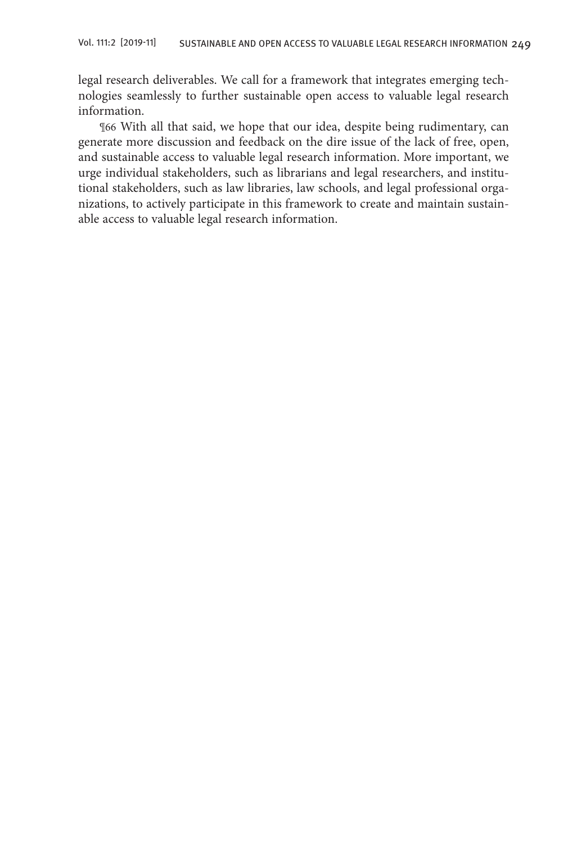legal research deliverables. We call for a framework that integrates emerging technologies seamlessly to further sustainable open access to valuable legal research information.

¶66 With all that said, we hope that our idea, despite being rudimentary, can generate more discussion and feedback on the dire issue of the lack of free, open, and sustainable access to valuable legal research information. More important, we urge individual stakeholders, such as librarians and legal researchers, and institutional stakeholders, such as law libraries, law schools, and legal professional organizations, to actively participate in this framework to create and maintain sustainable access to valuable legal research information.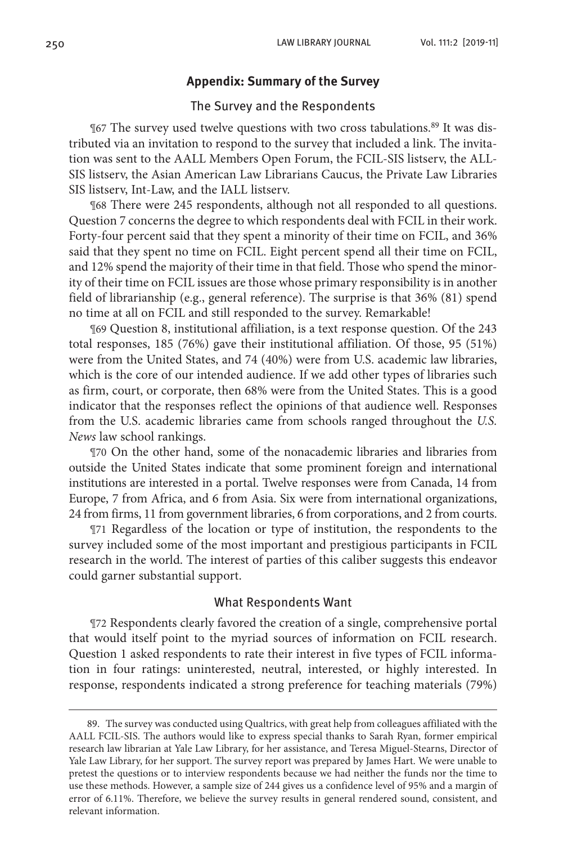### **Appendix: Summary of the Survey**

## The Survey and the Respondents

¶67 The survey used twelve questions with two cross tabulations.89 It was distributed via an invitation to respond to the survey that included a link. The invitation was sent to the AALL Members Open Forum, the FCIL-SIS listserv, the ALL-SIS listserv, the Asian American Law Librarians Caucus, the Private Law Libraries SIS listserv, Int-Law, and the IALL listserv.

¶68 There were 245 respondents, although not all responded to all questions. Question 7 concerns the degree to which respondents deal with FCIL in their work. Forty-four percent said that they spent a minority of their time on FCIL, and 36% said that they spent no time on FCIL. Eight percent spend all their time on FCIL, and 12% spend the majority of their time in that field. Those who spend the minority of their time on FCIL issues are those whose primary responsibility is in another field of librarianship (e.g., general reference). The surprise is that 36% (81) spend no time at all on FCIL and still responded to the survey. Remarkable!

¶69 Question 8, institutional affiliation, is a text response question. Of the 243 total responses, 185 (76%) gave their institutional affiliation. Of those, 95 (51%) were from the United States, and 74 (40%) were from U.S. academic law libraries, which is the core of our intended audience. If we add other types of libraries such as firm, court, or corporate, then 68% were from the United States. This is a good indicator that the responses reflect the opinions of that audience well. Responses from the U.S. academic libraries came from schools ranged throughout the *U.S. News* law school rankings.

¶70 On the other hand, some of the nonacademic libraries and libraries from outside the United States indicate that some prominent foreign and international institutions are interested in a portal. Twelve responses were from Canada, 14 from Europe, 7 from Africa, and 6 from Asia. Six were from international organizations, 24 from firms, 11 from government libraries, 6 from corporations, and 2 from courts.

¶71 Regardless of the location or type of institution, the respondents to the survey included some of the most important and prestigious participants in FCIL research in the world. The interest of parties of this caliber suggests this endeavor could garner substantial support.

## What Respondents Want

¶72 Respondents clearly favored the creation of a single, comprehensive portal that would itself point to the myriad sources of information on FCIL research. Question 1 asked respondents to rate their interest in five types of FCIL information in four ratings: uninterested, neutral, interested, or highly interested. In response, respondents indicated a strong preference for teaching materials (79%)

<sup>89.</sup> The survey was conducted using Qualtrics, with great help from colleagues affiliated with the AALL FCIL-SIS. The authors would like to express special thanks to Sarah Ryan, former empirical research law librarian at Yale Law Library, for her assistance, and Teresa Miguel-Stearns, Director of Yale Law Library, for her support. The survey report was prepared by James Hart. We were unable to pretest the questions or to interview respondents because we had neither the funds nor the time to use these methods. However, a sample size of 244 gives us a confidence level of 95% and a margin of error of 6.11%. Therefore, we believe the survey results in general rendered sound, consistent, and relevant information.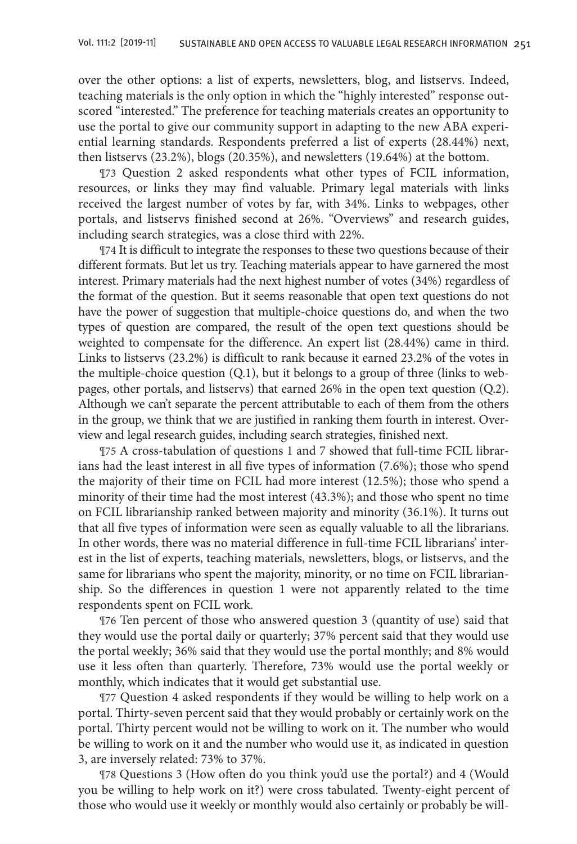over the other options: a list of experts, newsletters, blog, and listservs. Indeed, teaching materials is the only option in which the "highly interested" response outscored "interested." The preference for teaching materials creates an opportunity to use the portal to give our community support in adapting to the new ABA experiential learning standards. Respondents preferred a list of experts (28.44%) next, then listservs (23.2%), blogs (20.35%), and newsletters (19.64%) at the bottom.

¶73 Question 2 asked respondents what other types of FCIL information, resources, or links they may find valuable. Primary legal materials with links received the largest number of votes by far, with 34%. Links to webpages, other portals, and listservs finished second at 26%. "Overviews" and research guides, including search strategies, was a close third with 22%.

¶74 It is difficult to integrate the responses to these two questions because of their different formats. But let us try. Teaching materials appear to have garnered the most interest. Primary materials had the next highest number of votes (34%) regardless of the format of the question. But it seems reasonable that open text questions do not have the power of suggestion that multiple-choice questions do, and when the two types of question are compared, the result of the open text questions should be weighted to compensate for the difference. An expert list (28.44%) came in third. Links to listservs (23.2%) is difficult to rank because it earned 23.2% of the votes in the multiple-choice question (Q.1), but it belongs to a group of three (links to webpages, other portals, and listservs) that earned 26% in the open text question (Q.2). Although we can't separate the percent attributable to each of them from the others in the group, we think that we are justified in ranking them fourth in interest. Overview and legal research guides, including search strategies, finished next.

¶75 A cross-tabulation of questions 1 and 7 showed that full-time FCIL librarians had the least interest in all five types of information (7.6%); those who spend the majority of their time on FCIL had more interest (12.5%); those who spend a minority of their time had the most interest (43.3%); and those who spent no time on FCIL librarianship ranked between majority and minority (36.1%). It turns out that all five types of information were seen as equally valuable to all the librarians. In other words, there was no material difference in full-time FCIL librarians' interest in the list of experts, teaching materials, newsletters, blogs, or listservs, and the same for librarians who spent the majority, minority, or no time on FCIL librarianship. So the differences in question 1 were not apparently related to the time respondents spent on FCIL work.

¶76 Ten percent of those who answered question 3 (quantity of use) said that they would use the portal daily or quarterly; 37% percent said that they would use the portal weekly; 36% said that they would use the portal monthly; and 8% would use it less often than quarterly. Therefore, 73% would use the portal weekly or monthly, which indicates that it would get substantial use.

¶77 Question 4 asked respondents if they would be willing to help work on a portal. Thirty-seven percent said that they would probably or certainly work on the portal. Thirty percent would not be willing to work on it. The number who would be willing to work on it and the number who would use it, as indicated in question 3, are inversely related: 73% to 37%.

¶78 Questions 3 (How often do you think you'd use the portal?) and 4 (Would you be willing to help work on it?) were cross tabulated. Twenty-eight percent of those who would use it weekly or monthly would also certainly or probably be will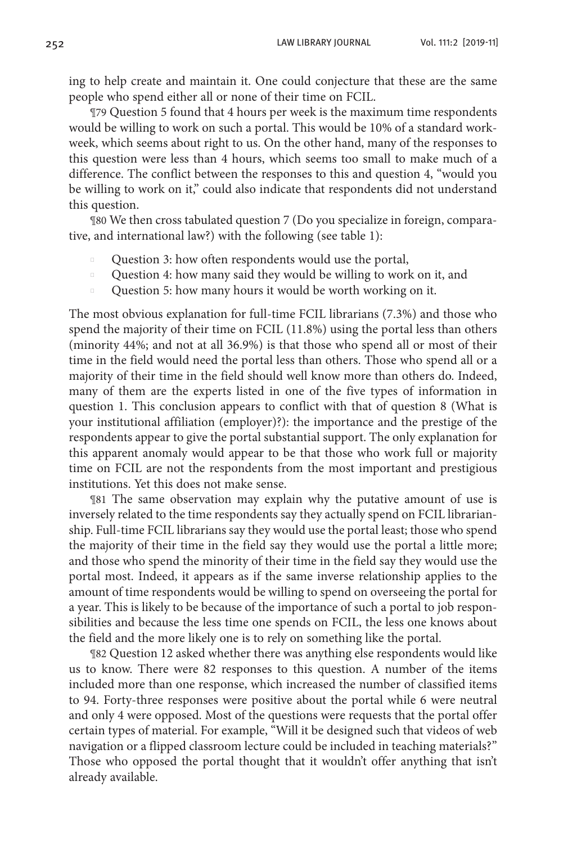ing to help create and maintain it. One could conjecture that these are the same people who spend either all or none of their time on FCIL.

¶79 Question 5 found that 4 hours per week is the maximum time respondents would be willing to work on such a portal. This would be 10% of a standard workweek, which seems about right to us. On the other hand, many of the responses to this question were less than 4 hours, which seems too small to make much of a difference. The conflict between the responses to this and question 4, "would you be willing to work on it," could also indicate that respondents did not understand this question.

¶80 We then cross tabulated question 7 (Do you specialize in foreign, comparative, and international law?) with the following (see table 1):

- Question 3: how often respondents would use the portal,
- **Question 4: how many said they would be willing to work on it, and**
- Question 5: how many hours it would be worth working on it.

The most obvious explanation for full-time FCIL librarians (7.3%) and those who spend the majority of their time on FCIL (11.8%) using the portal less than others (minority 44%; and not at all 36.9%) is that those who spend all or most of their time in the field would need the portal less than others. Those who spend all or a majority of their time in the field should well know more than others do. Indeed, many of them are the experts listed in one of the five types of information in question 1. This conclusion appears to conflict with that of question 8 (What is your institutional affiliation (employer)?): the importance and the prestige of the respondents appear to give the portal substantial support. The only explanation for this apparent anomaly would appear to be that those who work full or majority time on FCIL are not the respondents from the most important and prestigious institutions. Yet this does not make sense.

¶81 The same observation may explain why the putative amount of use is inversely related to the time respondents say they actually spend on FCIL librarianship. Full-time FCIL librarians say they would use the portal least; those who spend the majority of their time in the field say they would use the portal a little more; and those who spend the minority of their time in the field say they would use the portal most. Indeed, it appears as if the same inverse relationship applies to the amount of time respondents would be willing to spend on overseeing the portal for a year. This is likely to be because of the importance of such a portal to job responsibilities and because the less time one spends on FCIL, the less one knows about the field and the more likely one is to rely on something like the portal.

¶82 Question 12 asked whether there was anything else respondents would like us to know. There were 82 responses to this question. A number of the items included more than one response, which increased the number of classified items to 94. Forty-three responses were positive about the portal while 6 were neutral and only 4 were opposed. Most of the questions were requests that the portal offer certain types of material. For example, "Will it be designed such that videos of web navigation or a flipped classroom lecture could be included in teaching materials?" Those who opposed the portal thought that it wouldn't offer anything that isn't already available.